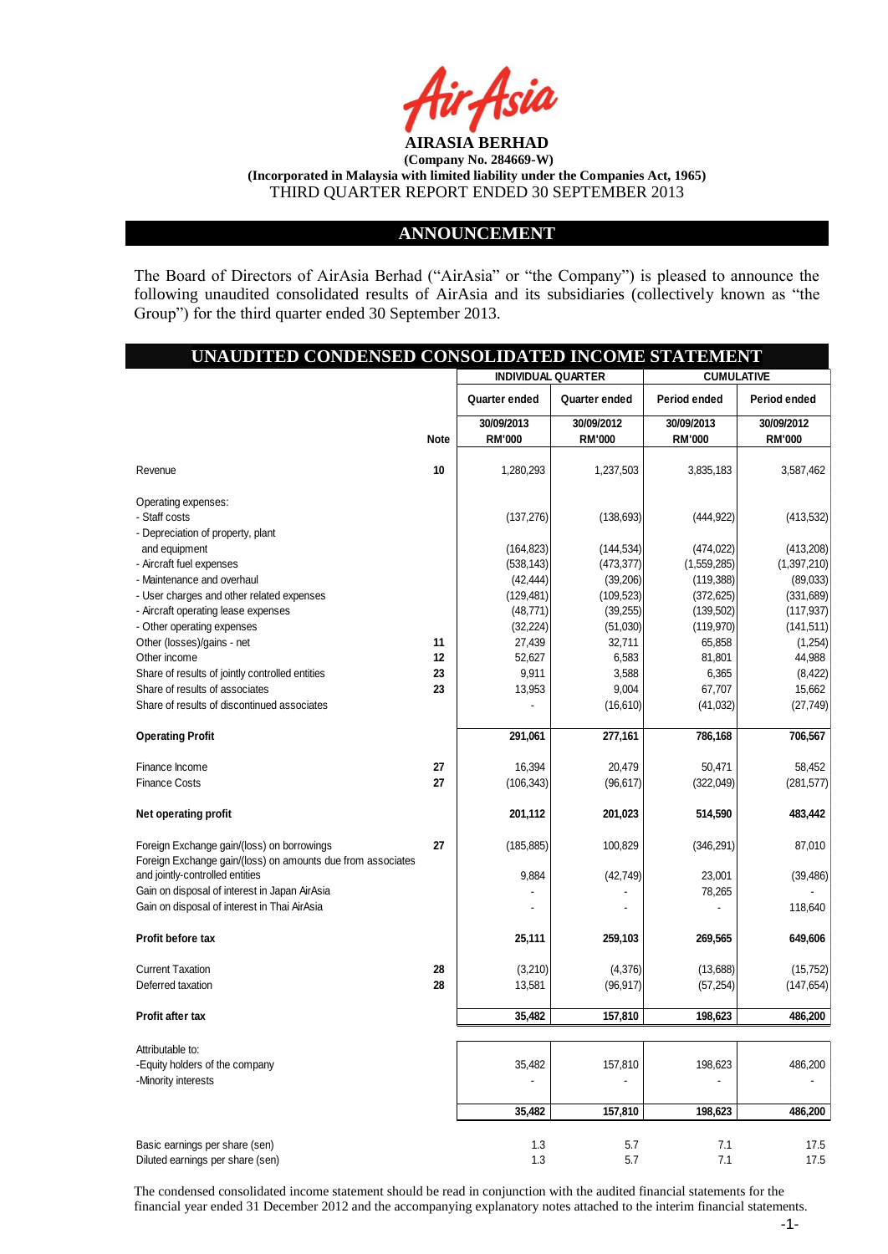

### **ANNOUNCEMENT**

The Board of Directors of AirAsia Berhad ("AirAsia" or "the Company") is pleased to announce the following unaudited consolidated results of AirAsia and its subsidiaries (collectively known as "the Group") for the third quarter ended 30 September 2013.

## **UNAUDITED CONDENSED CONSOLIDATED INCOME STATEMENT**

|                                                                    |             | <b>INDIVIDUAL QUARTER</b>   |                             | <b>CUMULATIVE</b>           |                             |
|--------------------------------------------------------------------|-------------|-----------------------------|-----------------------------|-----------------------------|-----------------------------|
|                                                                    |             | Quarter ended               | Quarter ended               | Period ended                | Period ended                |
|                                                                    | <b>Note</b> | 30/09/2013<br><b>RM'000</b> | 30/09/2012<br><b>RM'000</b> | 30/09/2013<br><b>RM'000</b> | 30/09/2012<br><b>RM'000</b> |
|                                                                    |             |                             |                             |                             | 3,587,462                   |
| Revenue                                                            | 10          | 1,280,293                   | 1,237,503                   | 3,835,183                   |                             |
| Operating expenses:                                                |             |                             |                             |                             |                             |
| - Staff costs                                                      |             | (137, 276)                  | (138, 693)                  | (444, 922)                  | (413, 532)                  |
| - Depreciation of property, plant                                  |             |                             |                             |                             |                             |
| and equipment                                                      |             | (164, 823)                  | (144, 534)                  | (474, 022)                  | (413,208)                   |
| - Aircraft fuel expenses                                           |             | (538, 143)                  | (473, 377)                  | (1,559,285)                 | (1,397,210)                 |
| - Maintenance and overhaul                                         |             | (42, 444)                   | (39, 206)                   | (119, 388)                  | (89,033)                    |
| - User charges and other related expenses                          |             | (129, 481)                  | (109, 523)                  | (372, 625)                  | (331, 689)                  |
| - Aircraft operating lease expenses                                |             | (48, 771)                   | (39, 255)                   | (139, 502)                  | (117, 937)                  |
| - Other operating expenses<br>Other (losses)/gains - net           | 11          | (32, 224)<br>27,439         | (51,030)<br>32,711          | (119, 970)<br>65,858        | (141, 511)<br>(1,254)       |
| Other income                                                       | 12          | 52,627                      | 6,583                       | 81,801                      | 44,988                      |
| Share of results of jointly controlled entities                    | 23          | 9,911                       | 3,588                       | 6,365                       | (8, 422)                    |
| Share of results of associates                                     | 23          | 13,953                      | 9,004                       | 67,707                      | 15,662                      |
| Share of results of discontinued associates                        |             |                             | (16, 610)                   | (41, 032)                   | (27, 749)                   |
|                                                                    |             |                             |                             |                             |                             |
| <b>Operating Profit</b>                                            |             | 291,061                     | 277,161                     | 786,168                     | 706,567                     |
| Finance Income                                                     | 27          | 16,394                      | 20.479                      | 50.471                      | 58,452                      |
| <b>Finance Costs</b>                                               | 27          | (106, 343)                  | (96, 617)                   | (322,049)                   | (281, 577)                  |
|                                                                    |             |                             |                             |                             |                             |
| Net operating profit                                               |             | 201,112                     | 201,023                     | 514,590                     | 483,442                     |
| Foreign Exchange gain/(loss) on borrowings                         | 27          | (185, 885)                  | 100,829                     | (346, 291)                  | 87,010                      |
| Foreign Exchange gain/(loss) on amounts due from associates        |             |                             |                             |                             |                             |
| and jointly-controlled entities                                    |             | 9,884                       | (42, 749)                   | 23,001                      | (39, 486)                   |
| Gain on disposal of interest in Japan AirAsia                      |             |                             |                             | 78,265                      |                             |
| Gain on disposal of interest in Thai AirAsia                       |             |                             |                             |                             | 118,640                     |
| Profit before tax                                                  |             | 25,111                      | 259,103                     | 269,565                     | 649,606                     |
|                                                                    |             |                             |                             |                             |                             |
| <b>Current Taxation</b>                                            | 28          | (3,210)                     | (4,376)                     | (13,688)                    | (15, 752)                   |
| Deferred taxation                                                  | 28          | 13,581                      | (96, 917)                   | (57, 254)                   | (147, 654)                  |
| Profit after tax                                                   |             | 35,482                      | 157,810                     | 198,623                     | 486.200                     |
| Attributable to:                                                   |             |                             |                             |                             |                             |
| -Equity holders of the company                                     |             | 35,482                      | 157,810                     | 198,623                     | 486,200                     |
| -Minority interests                                                |             |                             |                             |                             |                             |
|                                                                    |             |                             |                             |                             |                             |
|                                                                    |             | 35,482                      | 157,810                     | 198,623                     | 486,200                     |
|                                                                    |             | 1.3                         |                             | 7.1                         |                             |
| Basic earnings per share (sen)<br>Diluted earnings per share (sen) |             | 1.3                         | 5.7<br>5.7                  | 7.1                         | 17.5<br>17.5                |

The condensed consolidated income statement should be read in conjunction with the audited financial statements for the financial year ended 31 December 2012 and the accompanying explanatory notes attached to the interim financial statements.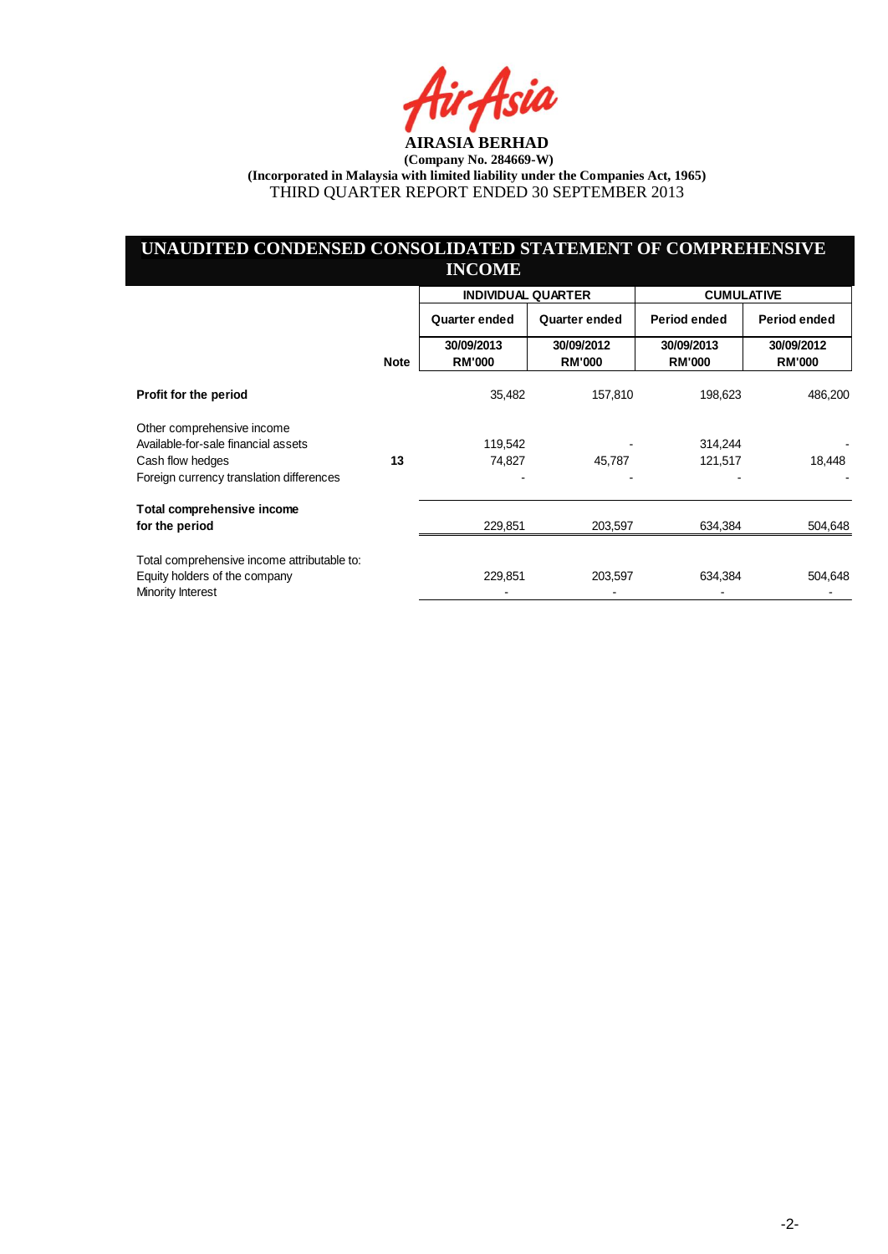ia

## **UNAUDITED CONDENSED CONSOLIDATED STATEMENT OF COMPREHENSIVE INCOME**

|                                                                                                   |             |                             | <b>INDIVIDUAL QUARTER</b>   |                             | <b>CUMULATIVE</b>           |
|---------------------------------------------------------------------------------------------------|-------------|-----------------------------|-----------------------------|-----------------------------|-----------------------------|
|                                                                                                   |             | <b>Quarter ended</b>        | Quarter ended               | Period ended                | Period ended                |
|                                                                                                   | <b>Note</b> | 30/09/2013<br><b>RM'000</b> | 30/09/2012<br><b>RM'000</b> | 30/09/2013<br><b>RM'000</b> | 30/09/2012<br><b>RM'000</b> |
| Profit for the period                                                                             |             | 35,482                      | 157,810                     | 198,623                     | 486,200                     |
| Other comprehensive income<br>Available-for-sale financial assets<br>Cash flow hedges             | 13          | 119,542<br>74,827           | 45,787                      | 314,244<br>121,517          | 18,448                      |
| Foreign currency translation differences                                                          |             |                             |                             |                             |                             |
| Total comprehensive income<br>for the period                                                      |             | 229,851                     | 203,597                     | 634,384                     | 504,648                     |
| Total comprehensive income attributable to:<br>Equity holders of the company<br>Minority Interest |             | 229,851                     | 203,597                     | 634,384                     | 504,648                     |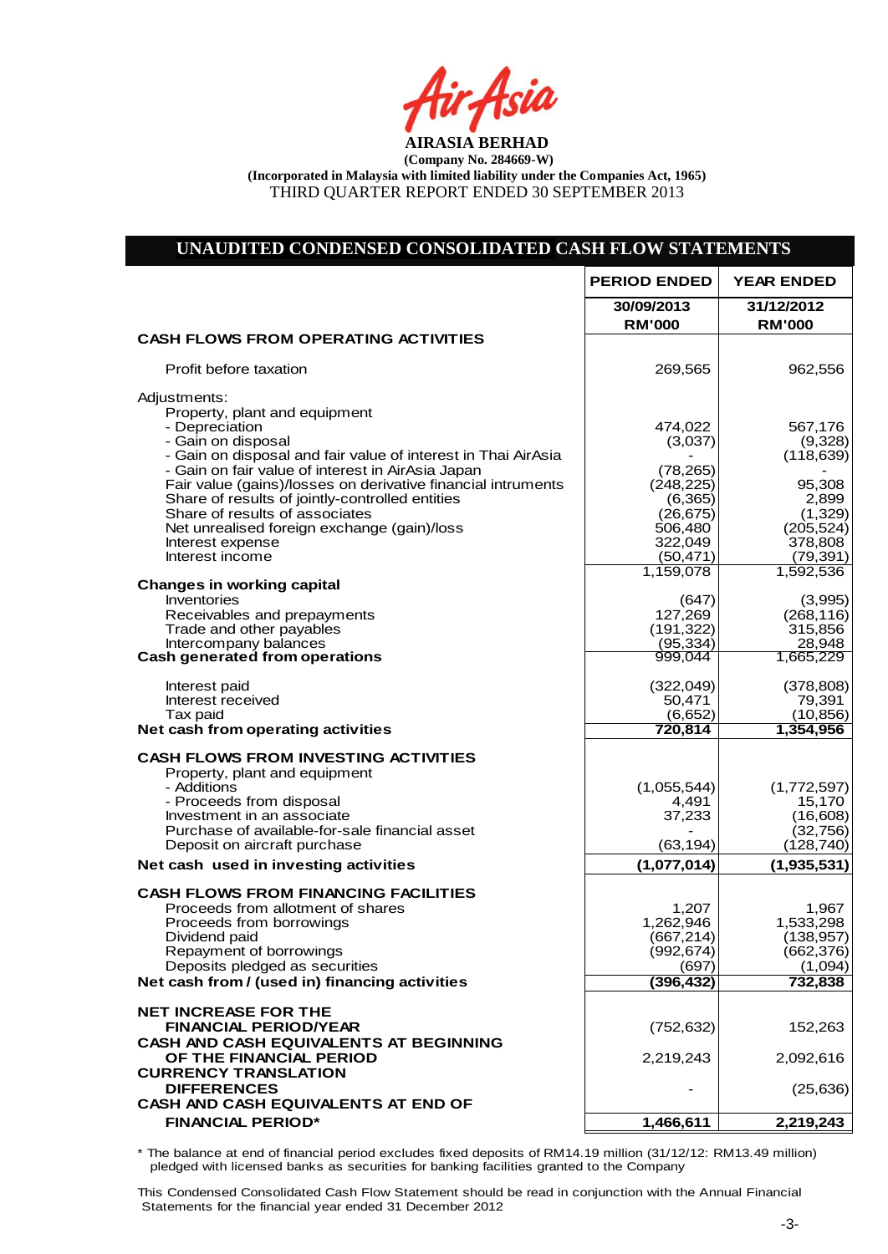tir Asia

# **UNAUDITED CONDENSED CONSOLIDATED CASH FLOW STATEMENTS**

|                                                                                                                                                                                                                                                                                                                                                                                                                                                                                                                                                                       | <b>PERIOD ENDED</b>                                                                                                                                      | <b>YEAR ENDED</b>                                                                                                                                     |
|-----------------------------------------------------------------------------------------------------------------------------------------------------------------------------------------------------------------------------------------------------------------------------------------------------------------------------------------------------------------------------------------------------------------------------------------------------------------------------------------------------------------------------------------------------------------------|----------------------------------------------------------------------------------------------------------------------------------------------------------|-------------------------------------------------------------------------------------------------------------------------------------------------------|
|                                                                                                                                                                                                                                                                                                                                                                                                                                                                                                                                                                       | 30/09/2013<br><b>RM'000</b>                                                                                                                              | 31/12/2012<br><b>RM'000</b>                                                                                                                           |
| <b>CASH FLOWS FROM OPERATING ACTIVITIES</b>                                                                                                                                                                                                                                                                                                                                                                                                                                                                                                                           |                                                                                                                                                          |                                                                                                                                                       |
| Profit before taxation                                                                                                                                                                                                                                                                                                                                                                                                                                                                                                                                                | 269,565                                                                                                                                                  | 962,556                                                                                                                                               |
| Adjustments:<br>Property, plant and equipment<br>- Depreciation<br>- Gain on disposal<br>- Gain on disposal and fair value of interest in Thai AirAsia<br>- Gain on fair value of interest in AirAsia Japan<br>Fair value (gains)/losses on derivative financial intruments<br>Share of results of jointly-controlled entities<br>Share of results of associates<br>Net unrealised foreign exchange (gain)/loss<br>Interest expense<br>Interest income<br><b>Changes in working capital</b><br>Inventories<br>Receivables and prepayments<br>Trade and other payables | 474,022<br>(3,037)<br>(78, 265)<br>(248, 225)<br>(6, 365)<br>(26, 675)<br>506,480<br>322,049<br>(50, 471)<br>1,159,078<br>(647)<br>127,269<br>(191, 322) | 567,176<br>(9,328)<br>(118, 639)<br>95,308<br>2,899<br>(1,329)<br>(205, 524)<br>378,808<br>(79, 391)<br>1,592,536<br>(3,995)<br>(268, 116)<br>315,856 |
| Intercompany balances<br><b>Cash generated from operations</b>                                                                                                                                                                                                                                                                                                                                                                                                                                                                                                        | (95,334)<br>999,044                                                                                                                                      | 28,948<br>1,665,229                                                                                                                                   |
| Interest paid<br>Interest received<br>Tax paid<br>Net cash from operating activities                                                                                                                                                                                                                                                                                                                                                                                                                                                                                  | (322, 049)<br>50,471<br>(6,652)<br>720,814                                                                                                               | (378, 808)<br>79,391<br>(10, 856)<br>1,354,956                                                                                                        |
| <b>CASH FLOWS FROM INVESTING ACTIVITIES</b><br>Property, plant and equipment<br>- Additions<br>- Proceeds from disposal<br>Investment in an associate<br>Purchase of available-for-sale financial asset<br>Deposit on aircraft purchase                                                                                                                                                                                                                                                                                                                               | (1,055,544)<br>4,491<br>37,233<br>(63, 194)                                                                                                              | (1,772,597)<br>15,170<br>(16,608)<br>(32, 756)<br>(128,740)                                                                                           |
| Net cash used in investing activities                                                                                                                                                                                                                                                                                                                                                                                                                                                                                                                                 | (1,077,014)                                                                                                                                              | (1,935,531)                                                                                                                                           |
| <b>CASH FLOWS FROM FINANCING FACILITIES</b><br>Proceeds from allotment of shares<br>Proceeds from borrowings<br>Dividend paid<br>Repayment of borrowings<br>Deposits pledged as securities<br>Net cash from / (used in) financing activities                                                                                                                                                                                                                                                                                                                          | 1,207<br>1,262,946<br>(667, 214)<br>(992, 674)<br>(697)<br>(396, 432)                                                                                    | 1,967<br>1,533,298<br>(138, 957)<br>(662, 376)<br>(1,094)<br>732,838                                                                                  |
| <b>NET INCREASE FOR THE</b>                                                                                                                                                                                                                                                                                                                                                                                                                                                                                                                                           |                                                                                                                                                          |                                                                                                                                                       |
| <b>FINANCIAL PERIOD/YEAR</b><br><b>CASH AND CASH EQUIVALENTS AT BEGINNING</b><br>OF THE FINANCIAL PERIOD                                                                                                                                                                                                                                                                                                                                                                                                                                                              | (752, 632)<br>2,219,243                                                                                                                                  | 152,263<br>2,092,616                                                                                                                                  |
| <b>CURRENCY TRANSLATION</b><br><b>DIFFERENCES</b><br>CASH AND CASH EQUIVALENTS AT END OF                                                                                                                                                                                                                                                                                                                                                                                                                                                                              |                                                                                                                                                          | (25, 636)                                                                                                                                             |
| <b>FINANCIAL PERIOD*</b>                                                                                                                                                                                                                                                                                                                                                                                                                                                                                                                                              | 1,466,611                                                                                                                                                | 2,219,243                                                                                                                                             |
|                                                                                                                                                                                                                                                                                                                                                                                                                                                                                                                                                                       |                                                                                                                                                          |                                                                                                                                                       |

\* The balance at end of financial period excludes fixed deposits of RM14.19 million (31/12/12: RM13.49 million) pledged with licensed banks as securities for banking facilities granted to the Company

This Condensed Consolidated Cash Flow Statement should be read in conjunction with the Annual Financial Statements for the financial year ended 31 December 2012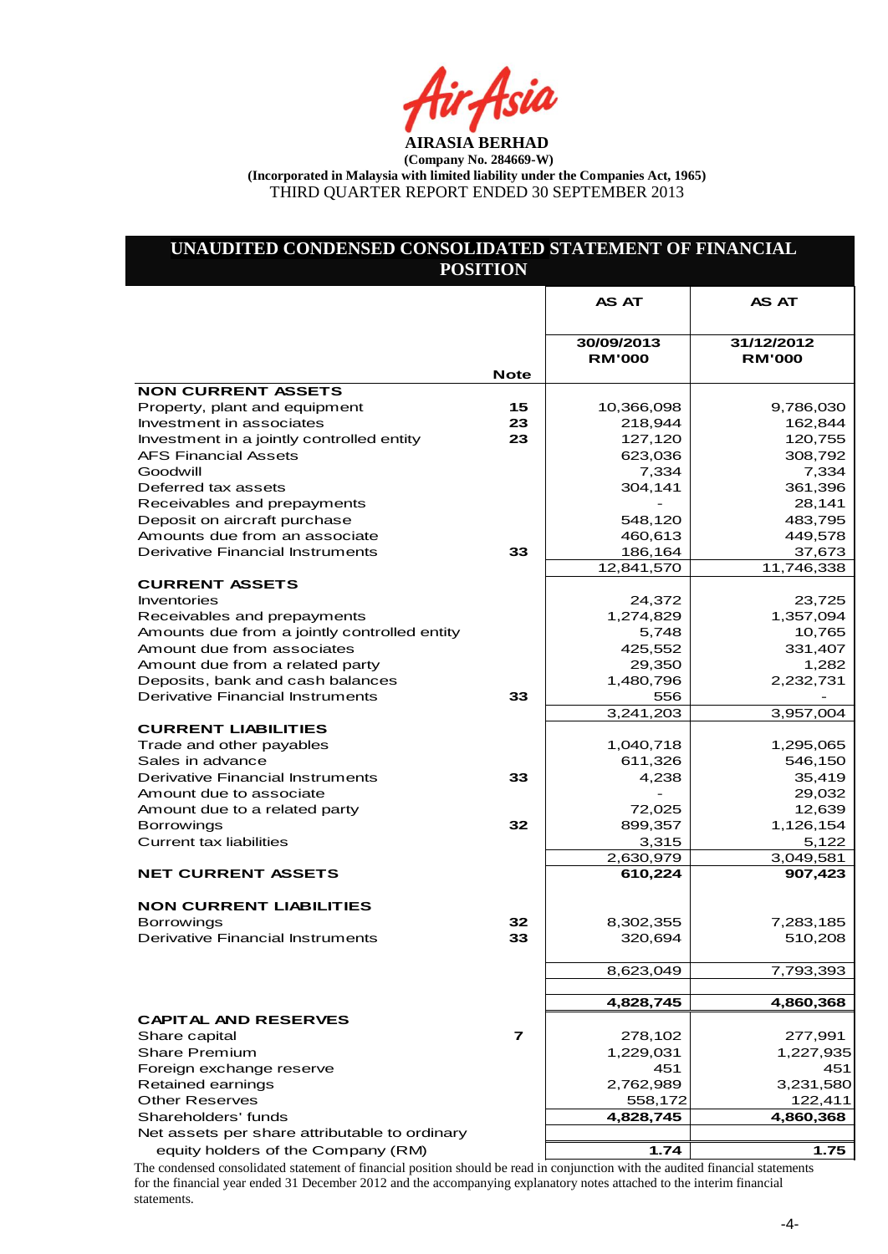tir Asia

# **UNAUDITED CONDENSED CONSOLIDATED STATEMENT OF FINANCIAL POSITION**

|                                               |             | <b>AS AT</b>                | <b>AS AT</b>                |
|-----------------------------------------------|-------------|-----------------------------|-----------------------------|
|                                               |             |                             |                             |
|                                               |             | 30/09/2013<br><b>RM'000</b> | 31/12/2012<br><b>RM'000</b> |
|                                               | <b>Note</b> |                             |                             |
| <b>NON CURRENT ASSETS</b>                     |             |                             |                             |
| Property, plant and equipment                 | 15          | 10,366,098                  | 9,786,030                   |
| Investment in associates                      | 23          | 218,944                     | 162,844                     |
| Investment in a jointly controlled entity     | 23          | 127,120                     | 120,755                     |
| <b>AFS Financial Assets</b>                   |             | 623,036                     | 308,792                     |
| Goodwill                                      |             | 7,334                       | 7,334                       |
| Deferred tax assets                           |             | 304,141                     | 361,396                     |
| Receivables and prepayments                   |             |                             | 28,141                      |
| Deposit on aircraft purchase                  |             | 548,120                     | 483,795                     |
| Amounts due from an associate                 |             | 460,613                     | 449,578                     |
| <b>Derivative Financial Instruments</b>       | 33          | 186,164                     | 37,673                      |
|                                               |             | 12,841,570                  | 11,746,338                  |
| <b>CURRENT ASSETS</b>                         |             |                             |                             |
| <b>Inventories</b>                            |             | 24,372                      | 23,725                      |
| Receivables and prepayments                   |             | 1,274,829                   | 1,357,094                   |
| Amounts due from a jointly controlled entity  |             | 5,748                       | 10,765                      |
| Amount due from associates                    |             | 425,552                     | 331,407                     |
| Amount due from a related party               |             | 29,350                      | 1,282                       |
| Deposits, bank and cash balances              |             | 1,480,796                   | 2,232,731                   |
| <b>Derivative Financial Instruments</b>       | 33          | 556                         |                             |
|                                               |             | 3,241,203                   | 3,957,004                   |
| <b>CURRENT LIABILITIES</b>                    |             |                             |                             |
| Trade and other payables                      |             | 1,040,718                   | 1,295,065                   |
| Sales in advance                              |             | 611,326                     | 546,150                     |
| Derivative Financial Instruments              | 33          | 4,238                       | 35,419                      |
| Amount due to associate                       |             |                             | 29,032                      |
| Amount due to a related party                 |             | 72,025                      | 12,639                      |
| <b>Borrowings</b>                             | 32          | 899,357                     | 1,126,154                   |
| <b>Current tax liabilities</b>                |             | 3,315                       | 5,122                       |
|                                               |             | 2,630,979                   | 3,049,581                   |
| <b>NET CURRENT ASSETS</b>                     |             | 610,224                     | 907,423                     |
| <b>NON CURRENT LIABILITIES</b>                |             |                             |                             |
| <b>Borrowings</b>                             | 32          | 8,302,355                   | 7,283,185                   |
| <b>Derivative Financial Instruments</b>       | 33          | 320,694                     | 510,208                     |
|                                               |             |                             |                             |
|                                               |             | 8,623,049                   | 7,793,393                   |
|                                               |             | 4,828,745                   | 4,860,368                   |
| <b>CAPITAL AND RESERVES</b>                   |             |                             |                             |
| Share capital                                 | 7           | 278,102                     | 277,991                     |
| <b>Share Premium</b>                          |             | 1,229,031                   | 1,227,935                   |
| Foreign exchange reserve                      |             | 451                         | 451                         |
| Retained earnings                             |             | 2,762,989                   | 3,231,580                   |
| <b>Other Reserves</b>                         |             |                             |                             |
| Shareholders' funds                           |             | 558,172<br>4,828,745        | 122,411<br>4,860,368        |
|                                               |             |                             |                             |
| Net assets per share attributable to ordinary |             |                             |                             |
| equity holders of the Company (RM)            |             | 1.74                        | 1.75                        |

The condensed consolidated statement of financial position should be read in conjunction with the audited financial statements for the financial year ended 31 December 2012 and the accompanying explanatory notes attached to the interim financial statements.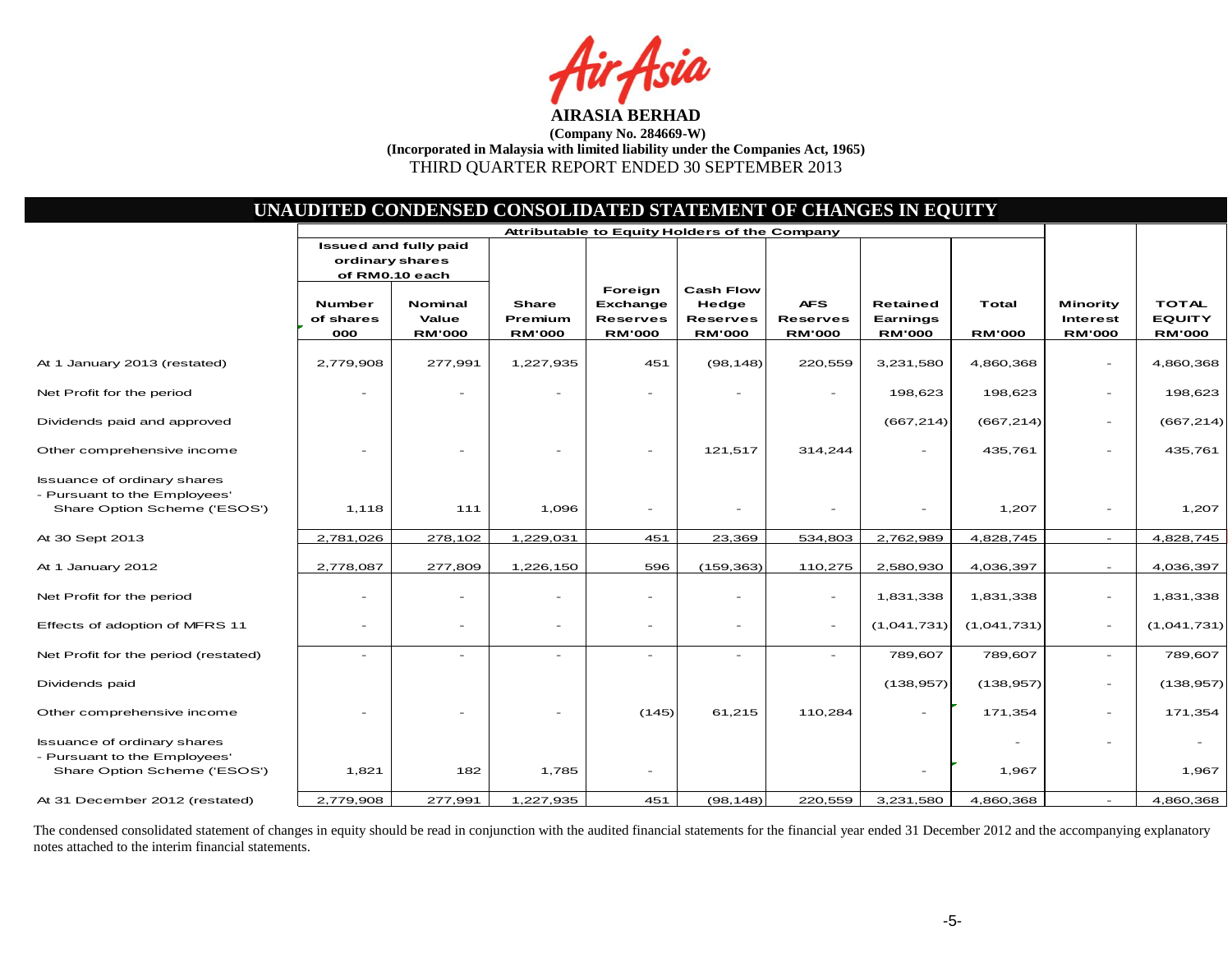fsia

| UNAUDITED CONDENSED CONSOLIDATED STATEMENT OF CHANGES IN EQUITY                                    |                                   |                                                |                                   |                                                         |                                                               |                                                |                                       |                        |                                              |                                                |
|----------------------------------------------------------------------------------------------------|-----------------------------------|------------------------------------------------|-----------------------------------|---------------------------------------------------------|---------------------------------------------------------------|------------------------------------------------|---------------------------------------|------------------------|----------------------------------------------|------------------------------------------------|
|                                                                                                    |                                   |                                                |                                   | Attributable to Equity Holders of the Company           |                                                               |                                                |                                       |                        |                                              |                                                |
|                                                                                                    | ordinary shares                   | <b>Issued and fully paid</b><br>of RM0.10 each |                                   |                                                         |                                                               |                                                |                                       |                        |                                              |                                                |
|                                                                                                    | <b>Number</b><br>of shares<br>000 | <b>Nominal</b><br>Value<br><b>RM'000</b>       | Share<br>Premium<br><b>RM'000</b> | Foreign<br>Exchange<br><b>Reserves</b><br><b>RM'000</b> | <b>Cash Flow</b><br>Hedge<br><b>Reserves</b><br><b>RM'000</b> | <b>AFS</b><br><b>Reserves</b><br><b>RM'000</b> | Retained<br>Earnings<br><b>RM'000</b> | Total<br><b>RM'000</b> | Minority<br><b>Interest</b><br><b>RM'000</b> | <b>TOTAL</b><br><b>EQUITY</b><br><b>RM'000</b> |
| At 1 January 2013 (restated)                                                                       | 2,779,908                         | 277,991                                        | 1,227,935                         | 451                                                     | (98, 148)                                                     | 220,559                                        | 3,231,580                             | 4,860,368              |                                              | 4,860,368                                      |
| Net Profit for the period                                                                          |                                   |                                                |                                   |                                                         |                                                               |                                                | 198,623                               | 198,623                |                                              | 198,623                                        |
| Dividends paid and approved                                                                        |                                   |                                                |                                   |                                                         |                                                               |                                                | (667, 214)                            | (667, 214)             | $\overline{\phantom{a}}$                     | (667, 214)                                     |
| Other comprehensive income                                                                         | $\overline{\phantom{a}}$          |                                                |                                   | $\overline{\phantom{a}}$                                | 121,517                                                       | 314,244                                        |                                       | 435,761                | $\overline{\phantom{a}}$                     | 435,761                                        |
| <b>Issuance of ordinary shares</b><br>- Pursuant to the Employees'<br>Share Option Scheme ('ESOS') | 1,118                             | 111                                            | 1,096                             |                                                         |                                                               |                                                |                                       | 1,207                  |                                              | 1,207                                          |
| At 30 Sept 2013                                                                                    | 2,781,026                         | 278,102                                        | 1,229,031                         | 451                                                     | 23,369                                                        | 534,803                                        | 2,762,989                             | 4,828,745              | $\equiv$                                     | 4,828,745                                      |
| At 1 January 2012                                                                                  | 2,778,087                         | 277,809                                        | 1,226,150                         | 596                                                     | (159, 363)                                                    | 110,275                                        | 2,580,930                             | 4,036,397              | $\overline{\phantom{a}}$                     | 4,036,397                                      |
| Net Profit for the period                                                                          | $\overline{\phantom{a}}$          |                                                |                                   | $\overline{\phantom{a}}$                                | ۰                                                             | $\overline{\phantom{a}}$                       | 1,831,338                             | 1,831,338              | $\overline{\phantom{a}}$                     | 1,831,338                                      |
| Effects of adoption of MFRS 11                                                                     | $\qquad \qquad -$                 | $\overline{\phantom{m}}$                       |                                   | $\overline{\phantom{a}}$                                | $\overline{\phantom{a}}$                                      | $\sim$                                         | (1,041,731)                           | (1,041,731)            | $\blacksquare$                               | (1,041,731)                                    |
| Net Profit for the period (restated)                                                               | $\blacksquare$                    |                                                |                                   |                                                         | $\equiv$                                                      | $\sim$                                         | 789,607                               | 789,607                |                                              | 789,607                                        |
| Dividends paid                                                                                     |                                   |                                                |                                   |                                                         |                                                               |                                                | (138, 957)                            | (138, 957)             |                                              | (138, 957)                                     |
| Other comprehensive income                                                                         | $\qquad \qquad -$                 |                                                |                                   | (145)                                                   | 61,215                                                        | 110,284                                        |                                       | 171,354                | $\overline{\phantom{a}}$                     | 171,354                                        |
| <b>Issuance of ordinary shares</b><br>- Pursuant to the Employees'<br>Share Option Scheme ('ESOS') | 1,821                             | 182                                            | 1,785                             | $\overline{\phantom{a}}$                                |                                                               |                                                |                                       | 1,967                  | $\sim$                                       | 1,967                                          |
| At 31 December 2012 (restated)                                                                     | 2,779,908                         | 277,991                                        | 1,227,935                         | 451                                                     | (98, 148)                                                     | 220,559                                        | 3,231,580                             | 4,860,368              |                                              | 4,860,368                                      |
|                                                                                                    |                                   |                                                |                                   |                                                         |                                                               |                                                |                                       |                        |                                              |                                                |

The condensed consolidated statement of changes in equity should be read in conjunction with the audited financial statements for the financial year ended 31 December 2012 and the accompanying explanatory notes attached to the interim financial statements.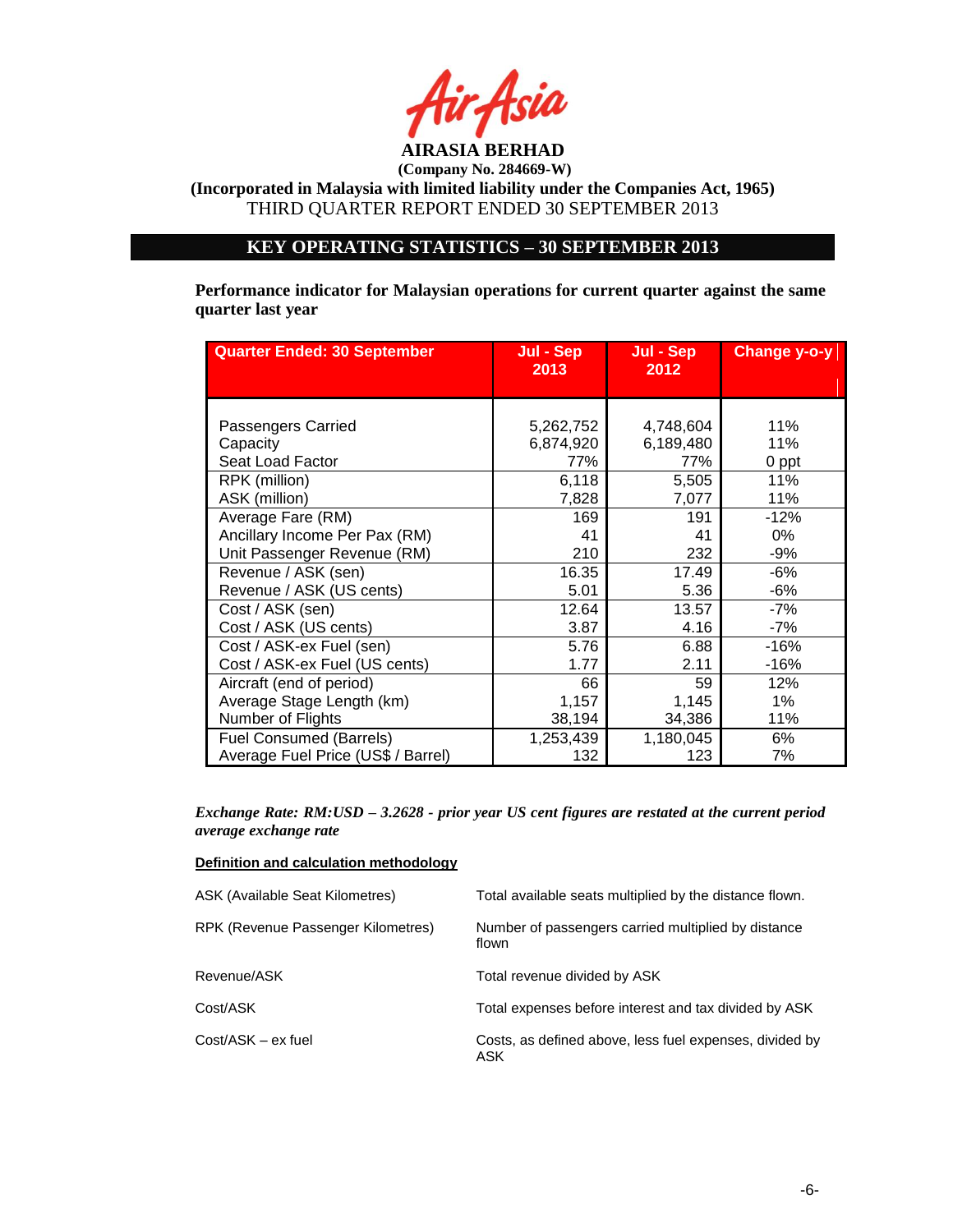

**(Company No. 284669-W)**

**(Incorporated in Malaysia with limited liability under the Companies Act, 1965)** THIRD QUARTER REPORT ENDED 30 SEPTEMBER 2013

# **KEY OPERATING STATISTICS – 30 SEPTEMBER 2013**

**Performance indicator for Malaysian operations for current quarter against the same quarter last year**

| <b>Quarter Ended: 30 September</b> | Jul - Sep<br>2013 | Jul - Sep<br>2012 | <b>Change y-o-y</b> |
|------------------------------------|-------------------|-------------------|---------------------|
| Passengers Carried                 | 5,262,752         | 4,748,604         | 11%                 |
| Capacity                           | 6,874,920         | 6,189,480         | 11%                 |
| Seat Load Factor                   | 77%               | 77%               | 0 ppt               |
| RPK (million)                      | 6,118             | 5,505             | 11%                 |
| ASK (million)                      | 7,828             | 7,077             | 11%                 |
| Average Fare (RM)                  | 169               | 191               | $-12%$              |
| Ancillary Income Per Pax (RM)      | 41                | 41                | 0%                  |
| Unit Passenger Revenue (RM)        | 210               | 232               | -9%                 |
| Revenue / ASK (sen)                | 16.35             | 17.49             | $-6%$               |
| Revenue / ASK (US cents)           | 5.01              | 5.36              | -6%                 |
| Cost / ASK (sen)                   | 12.64             | 13.57             | -7%                 |
| Cost / ASK (US cents)              | 3.87              | 4.16              | -7%                 |
| Cost / ASK-ex Fuel (sen)           | 5.76              | 6.88              | $-16%$              |
| Cost / ASK-ex Fuel (US cents)      | 1.77              | 2.11              | $-16%$              |
| Aircraft (end of period)           | 66                | 59                | 12%                 |
| Average Stage Length (km)          | 1,157             | 1,145             | $1\%$               |
| Number of Flights                  | 38,194            | 34,386            | 11%                 |
| <b>Fuel Consumed (Barrels)</b>     | 1,253,439         | 1,180,045         | 6%                  |
| Average Fuel Price (US\$ / Barrel) | 132               | 123               | 7%                  |

*Exchange Rate: RM:USD – 3.2628 - prior year US cent figures are restated at the current period average exchange rate*

#### **Definition and calculation methodology**

| ASK (Available Seat Kilometres)    | Total available seats multiplied by the distance flown.         |
|------------------------------------|-----------------------------------------------------------------|
| RPK (Revenue Passenger Kilometres) | Number of passengers carried multiplied by distance<br>flown    |
| Revenue/ASK                        | Total revenue divided by ASK                                    |
| Cost/ASK                           | Total expenses before interest and tax divided by ASK           |
| Cost/ASK - ex fuel                 | Costs, as defined above, less fuel expenses, divided by<br>ASK. |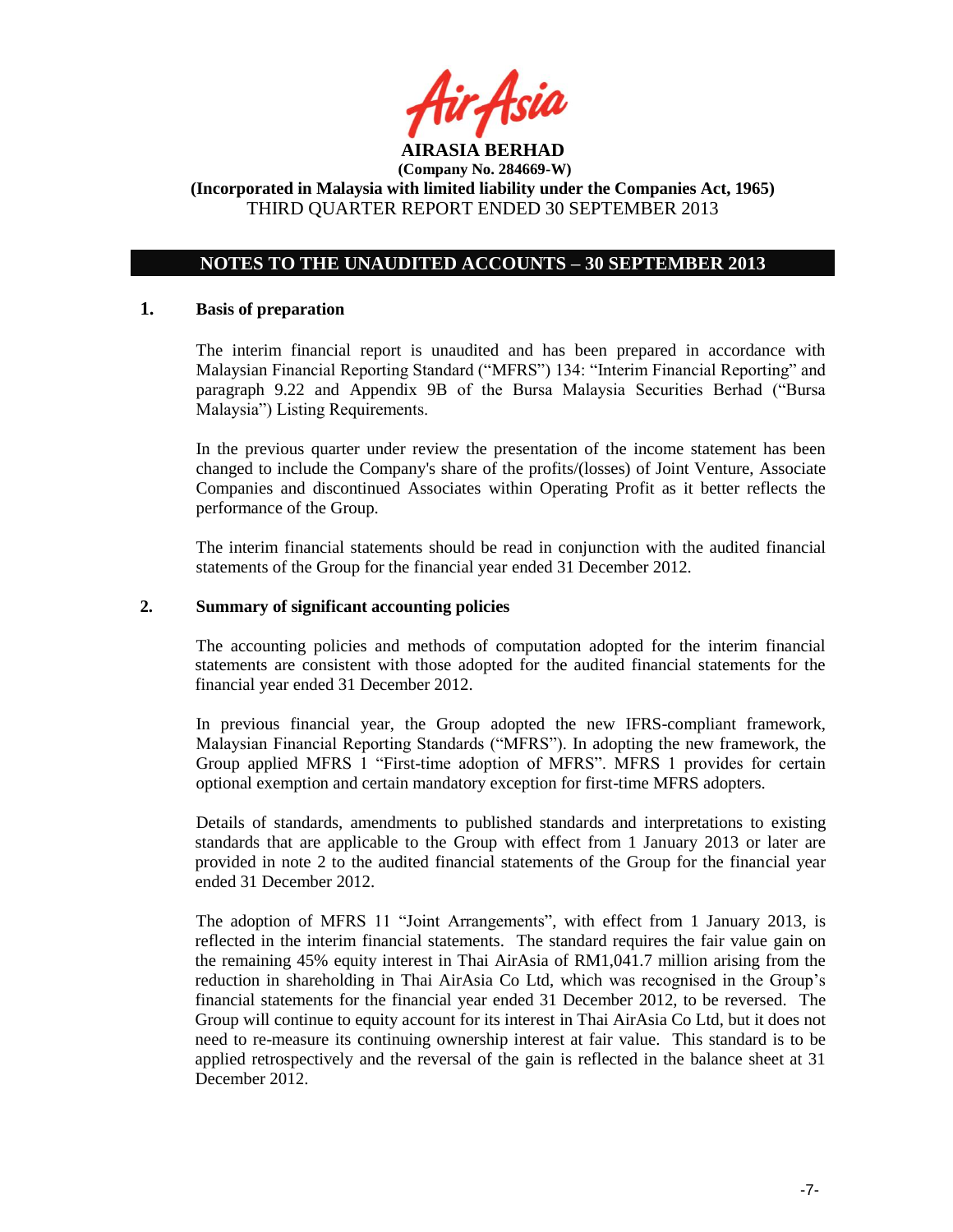

## **NOTES TO THE UNAUDITED ACCOUNTS – 30 SEPTEMBER 2013**

### **1. Basis of preparation**

The interim financial report is unaudited and has been prepared in accordance with Malaysian Financial Reporting Standard ("MFRS") 134: "Interim Financial Reporting" and paragraph 9.22 and Appendix 9B of the Bursa Malaysia Securities Berhad ("Bursa Malaysia") Listing Requirements.

In the previous quarter under review the presentation of the income statement has been changed to include the Company's share of the profits/(losses) of Joint Venture, Associate Companies and discontinued Associates within Operating Profit as it better reflects the performance of the Group.

The interim financial statements should be read in conjunction with the audited financial statements of the Group for the financial year ended 31 December 2012.

## **2. Summary of significant accounting policies**

The accounting policies and methods of computation adopted for the interim financial statements are consistent with those adopted for the audited financial statements for the financial year ended 31 December 2012.

In previous financial year, the Group adopted the new IFRS-compliant framework, Malaysian Financial Reporting Standards ("MFRS"). In adopting the new framework, the Group applied MFRS 1 "First-time adoption of MFRS". MFRS 1 provides for certain optional exemption and certain mandatory exception for first-time MFRS adopters.

Details of standards, amendments to published standards and interpretations to existing standards that are applicable to the Group with effect from 1 January 2013 or later are provided in note 2 to the audited financial statements of the Group for the financial year ended 31 December 2012.

The adoption of MFRS 11 "Joint Arrangements", with effect from 1 January 2013, is reflected in the interim financial statements. The standard requires the fair value gain on the remaining 45% equity interest in Thai AirAsia of RM1,041.7 million arising from the reduction in shareholding in Thai AirAsia Co Ltd, which was recognised in the Group"s financial statements for the financial year ended 31 December 2012, to be reversed. The Group will continue to equity account for its interest in Thai AirAsia Co Ltd, but it does not need to re-measure its continuing ownership interest at fair value. This standard is to be applied retrospectively and the reversal of the gain is reflected in the balance sheet at 31 December 2012.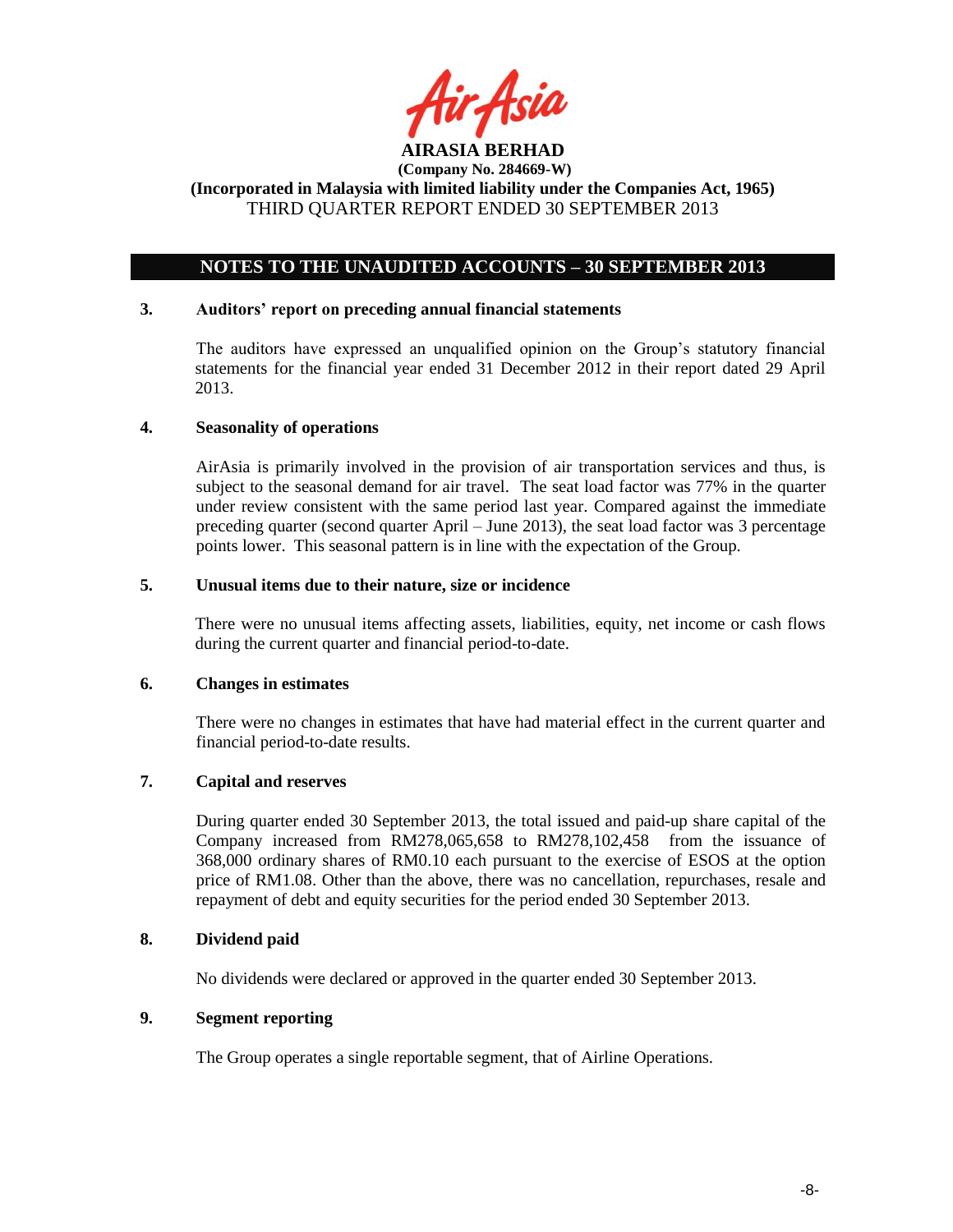

## **NOTES TO THE UNAUDITED ACCOUNTS – 30 SEPTEMBER 2013**

#### **3. Auditors' report on preceding annual financial statements**

The auditors have expressed an unqualified opinion on the Group"s statutory financial statements for the financial year ended 31 December 2012 in their report dated 29 April 2013.

### **4. Seasonality of operations**

AirAsia is primarily involved in the provision of air transportation services and thus, is subject to the seasonal demand for air travel. The seat load factor was 77% in the quarter under review consistent with the same period last year. Compared against the immediate preceding quarter (second quarter April – June 2013), the seat load factor was 3 percentage points lower. This seasonal pattern is in line with the expectation of the Group.

#### **5. Unusual items due to their nature, size or incidence**

There were no unusual items affecting assets, liabilities, equity, net income or cash flows during the current quarter and financial period-to-date.

### **6. Changes in estimates**

There were no changes in estimates that have had material effect in the current quarter and financial period-to-date results.

## **7. Capital and reserves**

During quarter ended 30 September 2013, the total issued and paid-up share capital of the Company increased from RM278,065,658 to RM278,102,458 from the issuance of 368,000 ordinary shares of RM0.10 each pursuant to the exercise of ESOS at the option price of RM1.08. Other than the above, there was no cancellation, repurchases, resale and repayment of debt and equity securities for the period ended 30 September 2013.

## **8. Dividend paid**

No dividends were declared or approved in the quarter ended 30 September 2013.

## **9. Segment reporting**

The Group operates a single reportable segment, that of Airline Operations.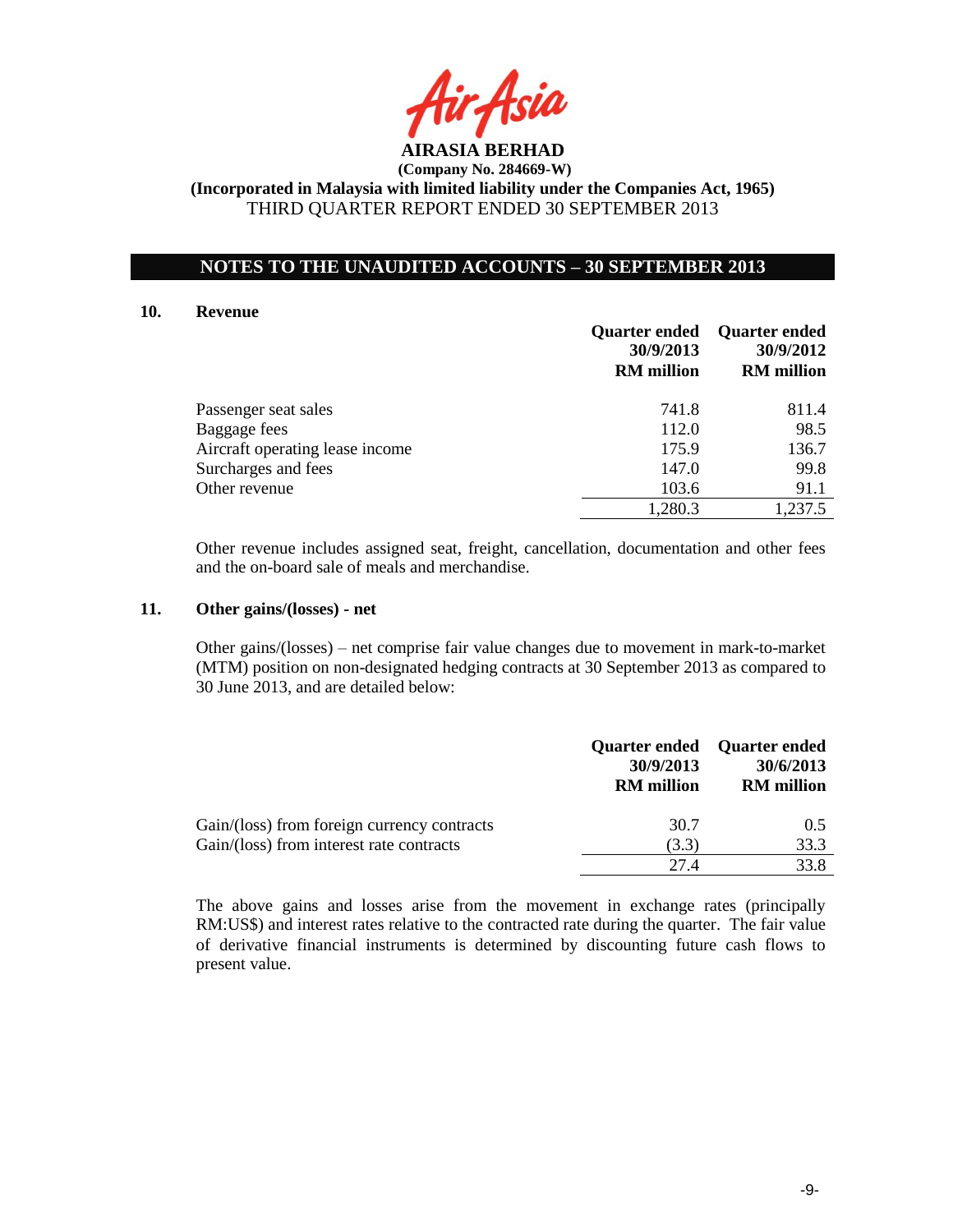

## **NOTES TO THE UNAUDITED ACCOUNTS – 30 SEPTEMBER 2013**

#### **10. Revenue**

|                                 | <b>Quarter ended</b><br>30/9/2013<br><b>RM</b> million | <b>Quarter ended</b><br>30/9/2012<br><b>RM</b> million |
|---------------------------------|--------------------------------------------------------|--------------------------------------------------------|
| Passenger seat sales            | 741.8                                                  | 811.4                                                  |
| Baggage fees                    | 112.0                                                  | 98.5                                                   |
| Aircraft operating lease income | 175.9                                                  | 136.7                                                  |
| Surcharges and fees             | 147.0                                                  | 99.8                                                   |
| Other revenue                   | 103.6                                                  | 91.1                                                   |
|                                 | 1,280.3                                                | 1,237.5                                                |

Other revenue includes assigned seat, freight, cancellation, documentation and other fees and the on-board sale of meals and merchandise.

### **11. Other gains/(losses) - net**

Other gains/(losses) – net comprise fair value changes due to movement in mark-to-market (MTM) position on non-designated hedging contracts at 30 September 2013 as compared to 30 June 2013, and are detailed below:

|                                                                                         | 30/9/2013<br><b>RM</b> million | Quarter ended Quarter ended<br>30/6/2013<br><b>RM</b> million |
|-----------------------------------------------------------------------------------------|--------------------------------|---------------------------------------------------------------|
| Gain/(loss) from foreign currency contracts<br>Gain/(loss) from interest rate contracts | 30.7<br>(3.3)                  | 0.5<br>33.3                                                   |
|                                                                                         | 27 4                           | 33.8                                                          |

The above gains and losses arise from the movement in exchange rates (principally RM:US\$) and interest rates relative to the contracted rate during the quarter. The fair value of derivative financial instruments is determined by discounting future cash flows to present value.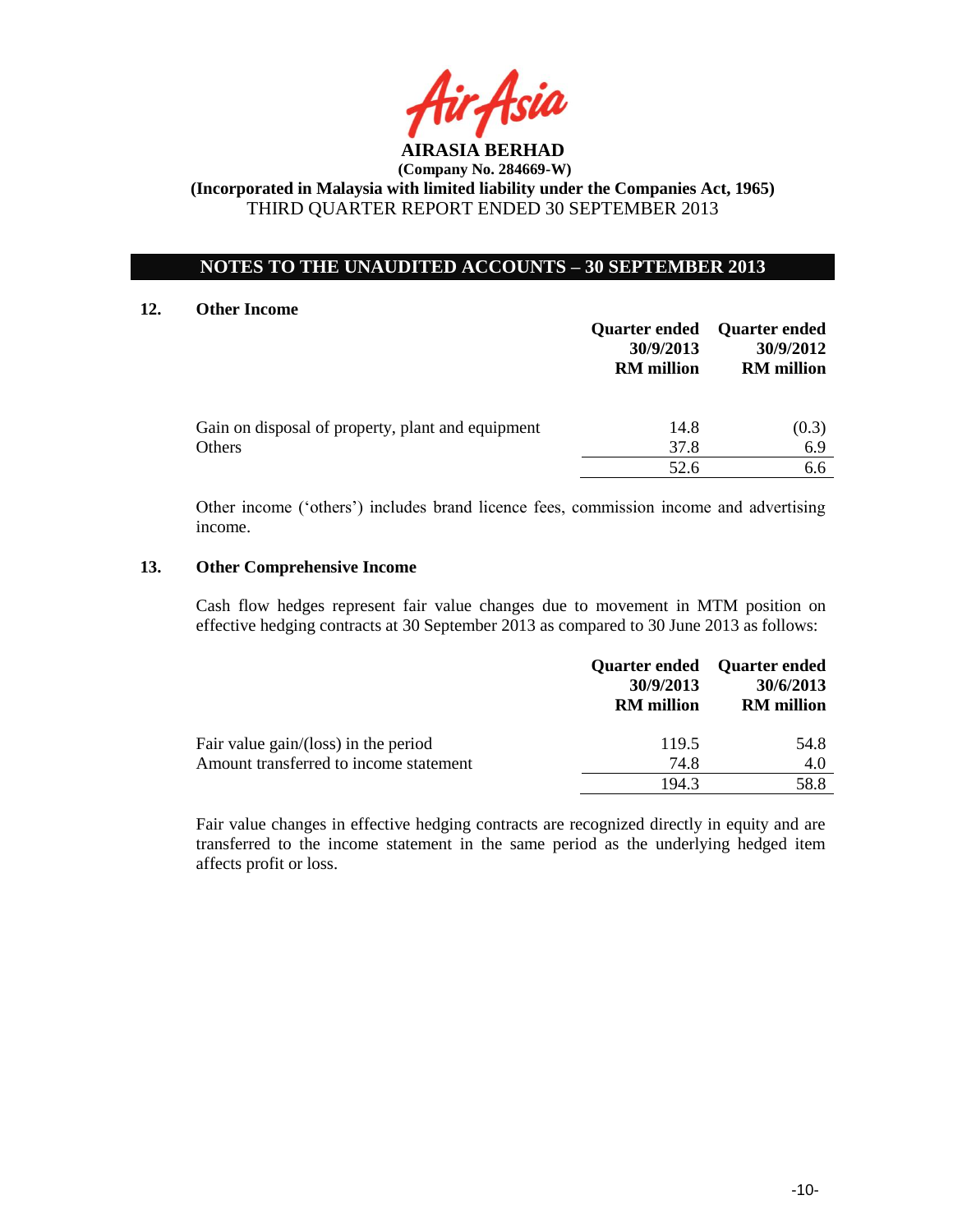

## **NOTES TO THE UNAUDITED ACCOUNTS – 30 SEPTEMBER 2013**

#### **12. Other Income**

|                                                             | <b>Quarter ended</b><br>30/9/2013<br><b>RM</b> million | Quarter ended<br>30/9/2012<br><b>RM</b> million |
|-------------------------------------------------------------|--------------------------------------------------------|-------------------------------------------------|
| Gain on disposal of property, plant and equipment<br>Others | 14.8<br>37.8                                           | (0.3)<br>6.9                                    |
|                                                             | 52.6                                                   | 6.6                                             |

Other income ("others") includes brand licence fees, commission income and advertising income.

#### **13. Other Comprehensive Income**

Cash flow hedges represent fair value changes due to movement in MTM position on effective hedging contracts at 30 September 2013 as compared to 30 June 2013 as follows:

|                                        | 30/9/2013<br><b>RM</b> million | Quarter ended Quarter ended<br>30/6/2013<br><b>RM</b> million |
|----------------------------------------|--------------------------------|---------------------------------------------------------------|
| Fair value gain/(loss) in the period   | 119.5                          | 54.8                                                          |
| Amount transferred to income statement | 74.8                           | 4.0                                                           |
|                                        | 194.3                          | 58.8                                                          |

Fair value changes in effective hedging contracts are recognized directly in equity and are transferred to the income statement in the same period as the underlying hedged item affects profit or loss.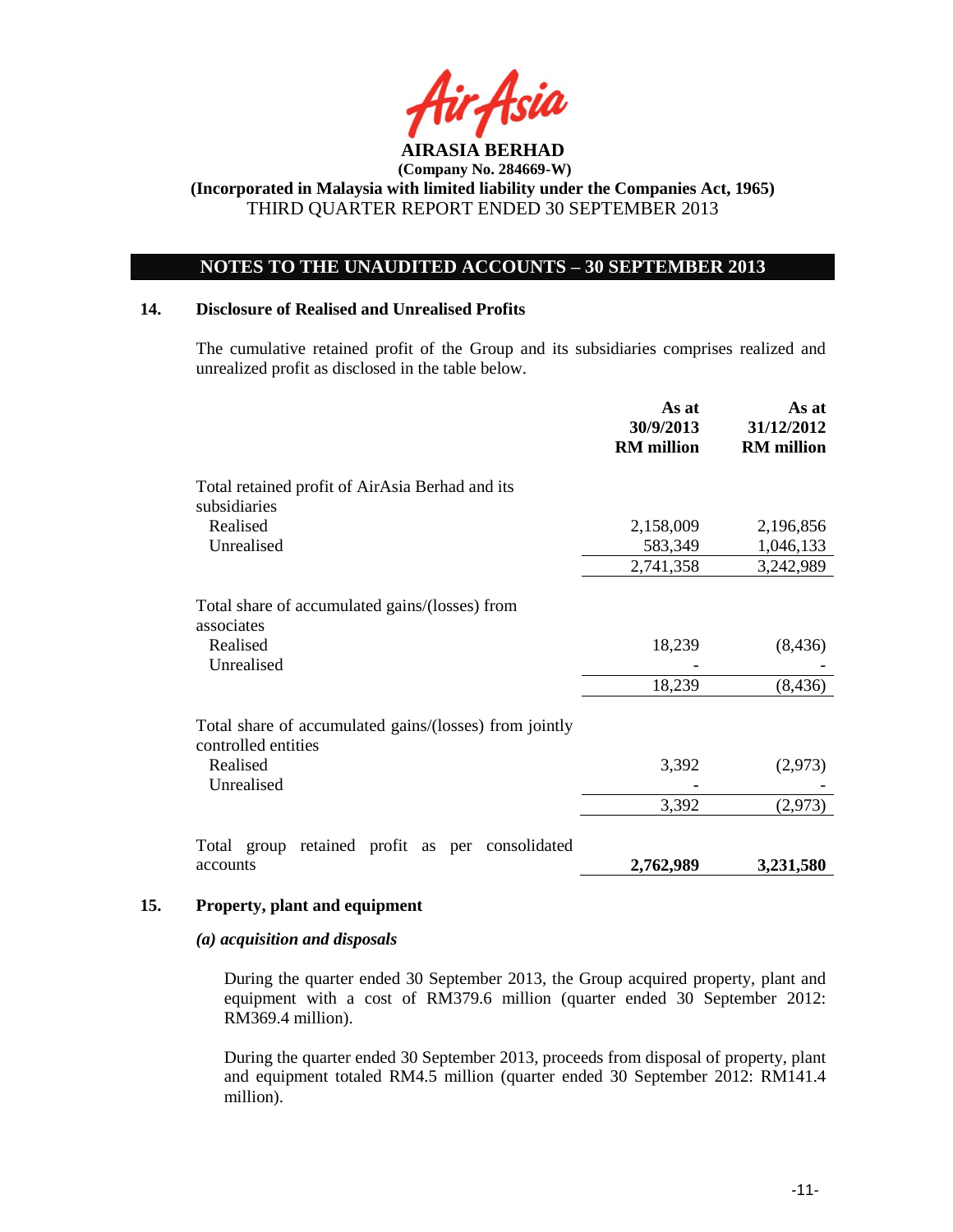

## **NOTES TO THE UNAUDITED ACCOUNTS – 30 SEPTEMBER 2013**

### **14. Disclosure of Realised and Unrealised Profits**

The cumulative retained profit of the Group and its subsidiaries comprises realized and unrealized profit as disclosed in the table below.

|                                                                               | As at<br>30/9/2013<br><b>RM</b> million | As at<br>31/12/2012<br><b>RM</b> million |
|-------------------------------------------------------------------------------|-----------------------------------------|------------------------------------------|
| Total retained profit of AirAsia Berhad and its<br>subsidiaries               |                                         |                                          |
| Realised<br>Unrealised                                                        | 2,158,009<br>583,349                    | 2,196,856<br>1,046,133                   |
|                                                                               | 2,741,358                               | 3,242,989                                |
| Total share of accumulated gains/(losses) from<br>associates                  |                                         |                                          |
| Realised<br>Unrealised                                                        | 18,239                                  | (8, 436)                                 |
|                                                                               | 18,239                                  | (8, 436)                                 |
| Total share of accumulated gains/(losses) from jointly<br>controlled entities |                                         |                                          |
| Realised<br>Unrealised                                                        | 3,392                                   | (2,973)                                  |
|                                                                               | 3,392                                   | (2, 973)                                 |
| retained profit as per consolidated<br>Total group                            |                                         |                                          |
| accounts                                                                      | 2,762,989                               | 3,231,580                                |

#### **15. Property, plant and equipment**

#### *(a) acquisition and disposals*

During the quarter ended 30 September 2013, the Group acquired property, plant and equipment with a cost of RM379.6 million (quarter ended 30 September 2012: RM369.4 million).

During the quarter ended 30 September 2013, proceeds from disposal of property, plant and equipment totaled RM4.5 million (quarter ended 30 September 2012: RM141.4 million).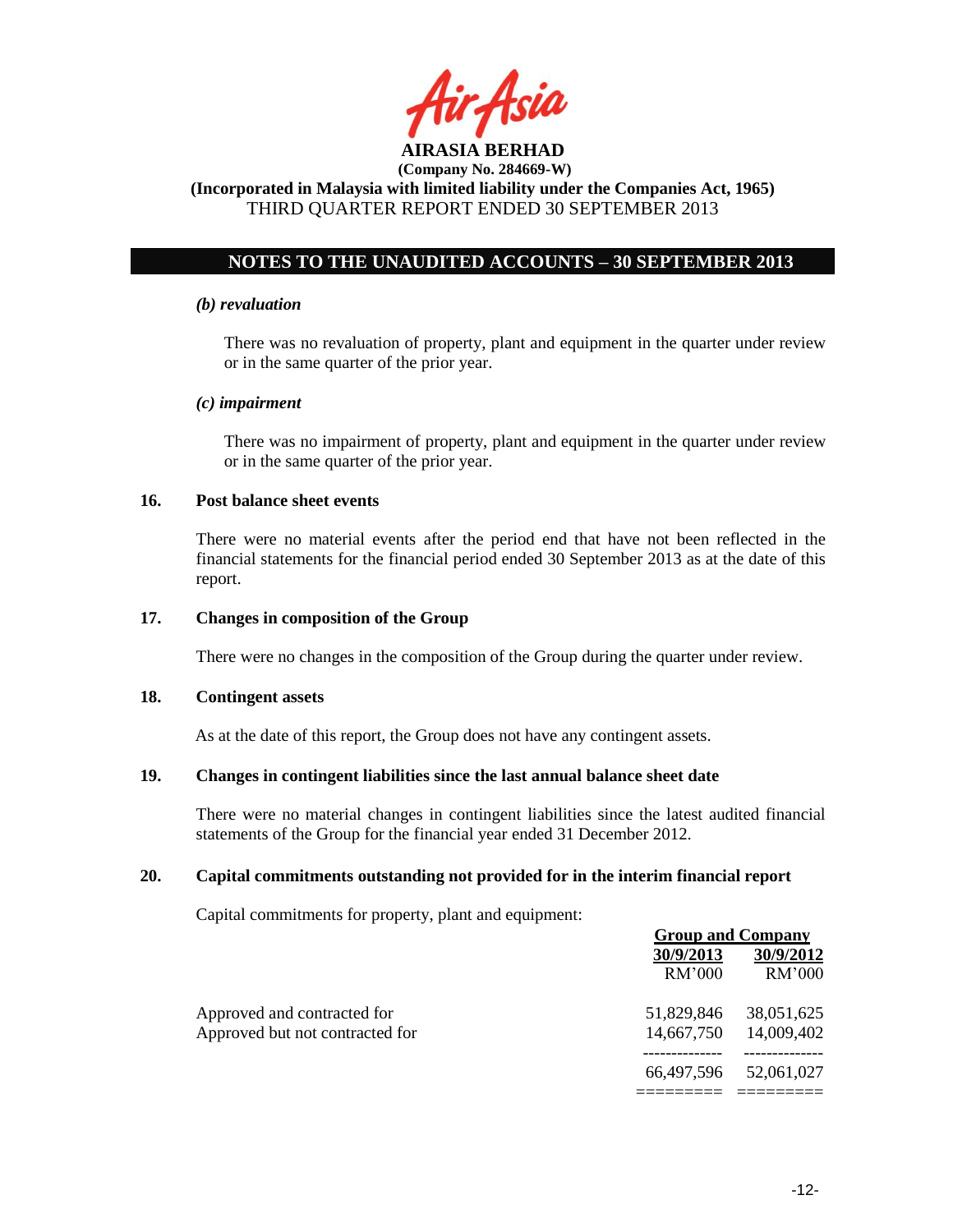

## **NOTES TO THE UNAUDITED ACCOUNTS – 30 SEPTEMBER 2013**

### *(b) revaluation*

There was no revaluation of property, plant and equipment in the quarter under review or in the same quarter of the prior year.

### *(c) impairment*

There was no impairment of property, plant and equipment in the quarter under review or in the same quarter of the prior year.

## **16. Post balance sheet events**

There were no material events after the period end that have not been reflected in the financial statements for the financial period ended 30 September 2013 as at the date of this report.

#### **17. Changes in composition of the Group**

There were no changes in the composition of the Group during the quarter under review.

### **18. Contingent assets**

As at the date of this report, the Group does not have any contingent assets.

## **19. Changes in contingent liabilities since the last annual balance sheet date**

There were no material changes in contingent liabilities since the latest audited financial statements of the Group for the financial year ended 31 December 2012.

#### **20. Capital commitments outstanding not provided for in the interim financial report**

Capital commitments for property, plant and equipment:

|                                 | <b>Group and Company</b> |            |
|---------------------------------|--------------------------|------------|
|                                 | 30/9/2013                | 30/9/2012  |
|                                 | RM'000                   | RM'000     |
| Approved and contracted for     | 51.829.846               | 38,051,625 |
| Approved but not contracted for | 14,667,750               | 14,009,402 |
|                                 | 66,497,596               | 52,061,027 |
|                                 |                          |            |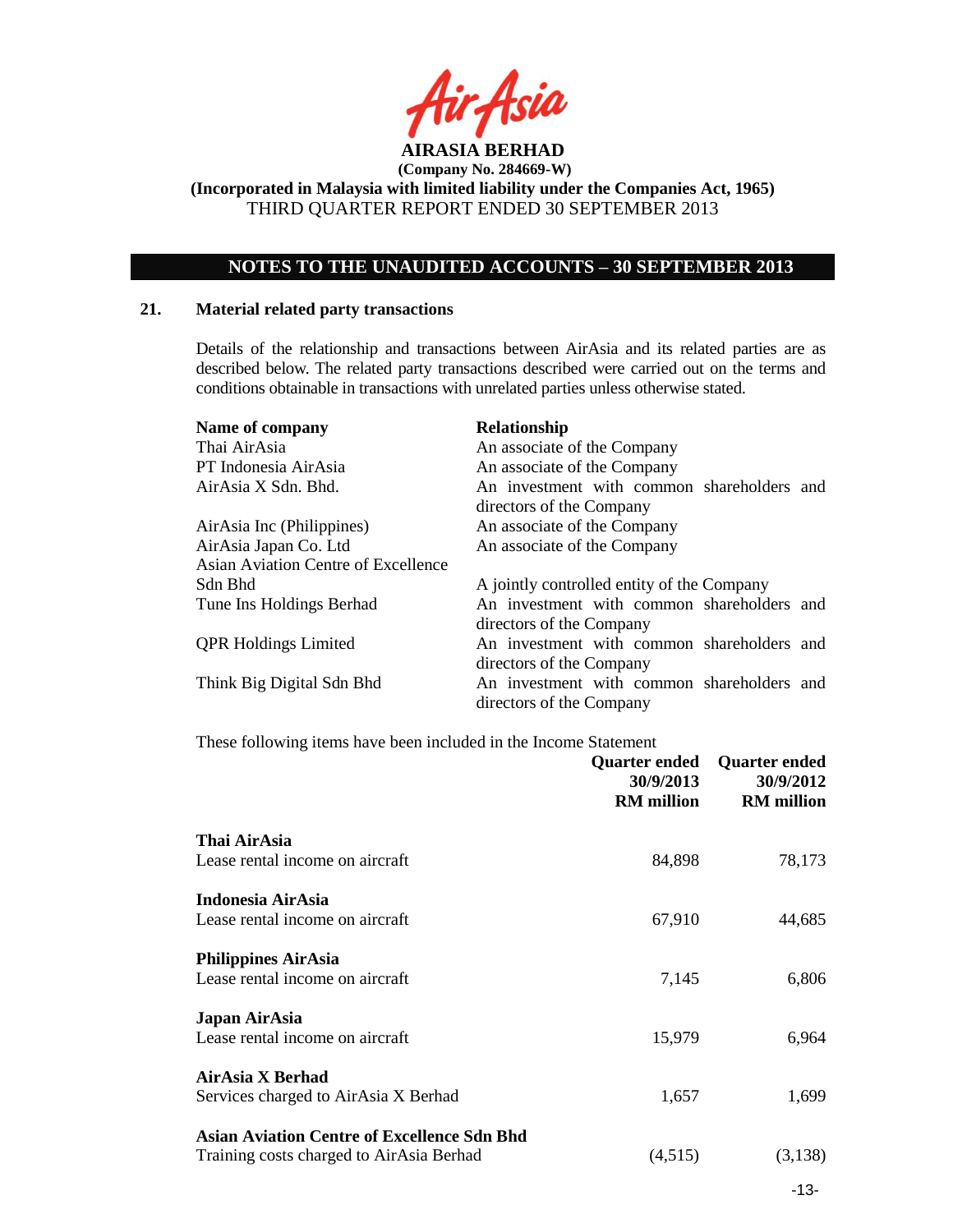

**(Company No. 284669-W)**

**(Incorporated in Malaysia with limited liability under the Companies Act, 1965)** THIRD QUARTER REPORT ENDED 30 SEPTEMBER 2013

## **NOTES TO THE UNAUDITED ACCOUNTS – 30 SEPTEMBER 2013**

#### **21. Material related party transactions**

Details of the relationship and transactions between AirAsia and its related parties are as described below. The related party transactions described were carried out on the terms and conditions obtainable in transactions with unrelated parties unless otherwise stated.

| Name of company                            | Relationship                               |
|--------------------------------------------|--------------------------------------------|
| Thai AirAsia                               | An associate of the Company                |
| PT Indonesia AirAsia                       | An associate of the Company                |
| AirAsia X Sdn. Bhd.                        | An investment with common shareholders and |
|                                            | directors of the Company                   |
| AirAsia Inc (Philippines)                  | An associate of the Company                |
| AirAsia Japan Co. Ltd                      | An associate of the Company                |
| <b>Asian Aviation Centre of Excellence</b> |                                            |
| Sdn Bhd                                    | A jointly controlled entity of the Company |
| Tune Ins Holdings Berhad                   | An investment with common shareholders and |
|                                            | directors of the Company                   |
| <b>QPR Holdings Limited</b>                | An investment with common shareholders and |
|                                            | directors of the Company                   |
| Think Big Digital Sdn Bhd                  | An investment with common shareholders and |
|                                            | directors of the Company                   |

#### These following items have been included in the Income Statement

|                                                    | Quarter ended<br>30/9/2013<br><b>RM</b> million | <b>Quarter ended</b><br>30/9/2012<br><b>RM</b> million |
|----------------------------------------------------|-------------------------------------------------|--------------------------------------------------------|
| Thai AirAsia<br>Lease rental income on aircraft    | 84,898                                          |                                                        |
|                                                    |                                                 | 78,173                                                 |
| Indonesia AirAsia                                  |                                                 |                                                        |
| Lease rental income on aircraft                    | 67,910                                          | 44,685                                                 |
| <b>Philippines AirAsia</b>                         |                                                 |                                                        |
| Lease rental income on aircraft                    | 7,145                                           | 6,806                                                  |
| Japan AirAsia                                      |                                                 |                                                        |
| Lease rental income on aircraft                    | 15,979                                          | 6,964                                                  |
| AirAsia X Berhad                                   |                                                 |                                                        |
| Services charged to AirAsia X Berhad               | 1,657                                           | 1,699                                                  |
| <b>Asian Aviation Centre of Excellence Sdn Bhd</b> |                                                 |                                                        |
| Training costs charged to AirAsia Berhad           | (4,515)                                         | (3,138)                                                |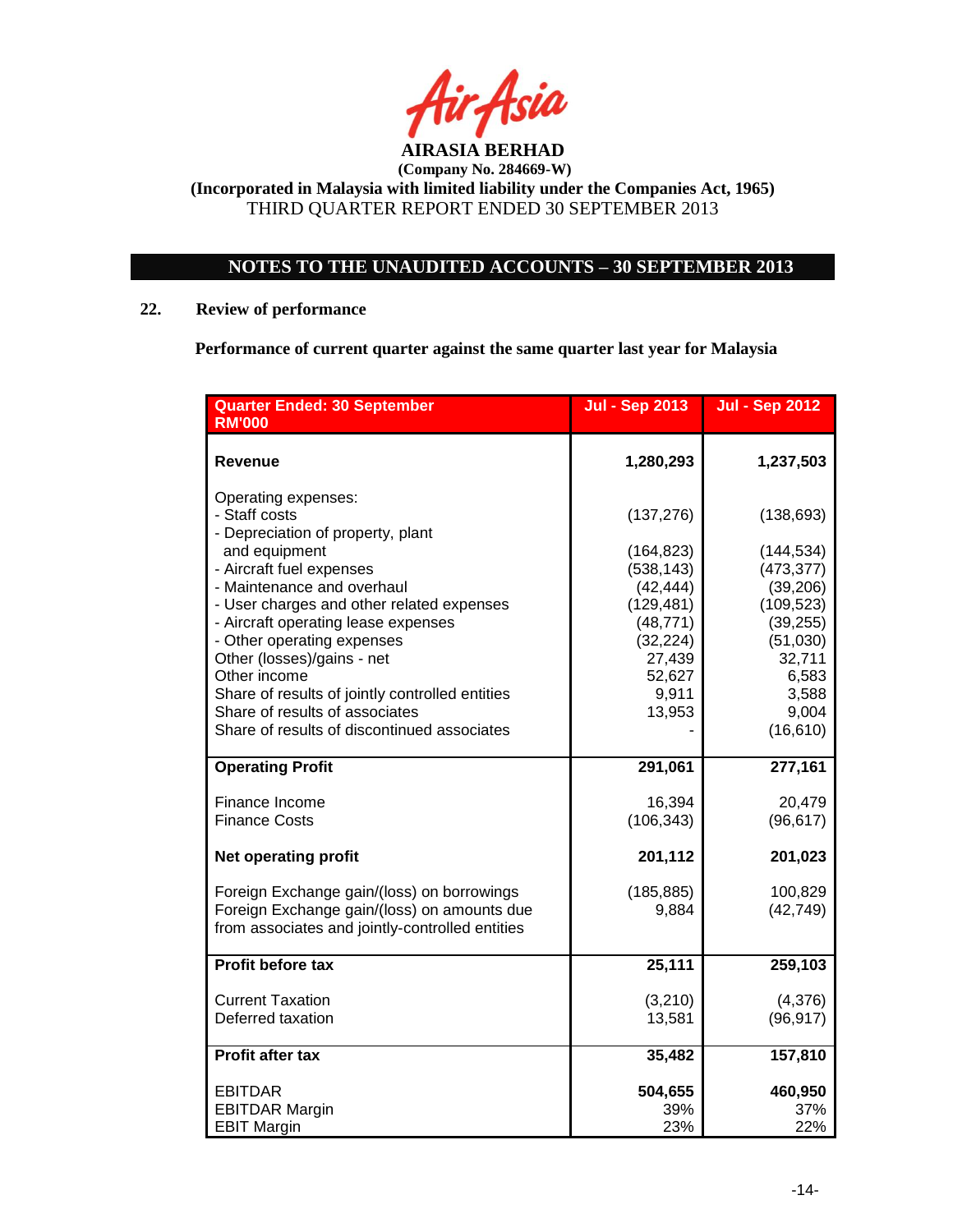

# **NOTES TO THE UNAUDITED ACCOUNTS – 30 SEPTEMBER 2013**

## **22. Review of performance**

**Performance of current quarter against the same quarter last year for Malaysia**

| <b>Quarter Ended: 30 September</b><br><b>RM'000</b>                                                                                                                                                                                                                                                                                                                                                                                                      | Jul - Sep 2013                                                                                                                     | <b>Jul - Sep 2012</b>                                                                                                                        |
|----------------------------------------------------------------------------------------------------------------------------------------------------------------------------------------------------------------------------------------------------------------------------------------------------------------------------------------------------------------------------------------------------------------------------------------------------------|------------------------------------------------------------------------------------------------------------------------------------|----------------------------------------------------------------------------------------------------------------------------------------------|
| Revenue                                                                                                                                                                                                                                                                                                                                                                                                                                                  | 1,280,293                                                                                                                          | 1,237,503                                                                                                                                    |
| Operating expenses:<br>- Staff costs<br>- Depreciation of property, plant<br>and equipment<br>- Aircraft fuel expenses<br>- Maintenance and overhaul<br>- User charges and other related expenses<br>- Aircraft operating lease expenses<br>- Other operating expenses<br>Other (losses)/gains - net<br>Other income<br>Share of results of jointly controlled entities<br>Share of results of associates<br>Share of results of discontinued associates | (137, 276)<br>(164, 823)<br>(538, 143)<br>(42, 444)<br>(129, 481)<br>(48, 771)<br>(32, 224)<br>27,439<br>52,627<br>9,911<br>13,953 | (138, 693)<br>(144, 534)<br>(473, 377)<br>(39, 206)<br>(109, 523)<br>(39, 255)<br>(51,030)<br>32,711<br>6,583<br>3,588<br>9,004<br>(16, 610) |
| <b>Operating Profit</b>                                                                                                                                                                                                                                                                                                                                                                                                                                  | 291,061                                                                                                                            | 277,161                                                                                                                                      |
| Finance Income<br><b>Finance Costs</b>                                                                                                                                                                                                                                                                                                                                                                                                                   | 16,394<br>(106, 343)                                                                                                               | 20,479<br>(96, 617)                                                                                                                          |
| <b>Net operating profit</b>                                                                                                                                                                                                                                                                                                                                                                                                                              | 201,112                                                                                                                            | 201,023                                                                                                                                      |
| Foreign Exchange gain/(loss) on borrowings<br>Foreign Exchange gain/(loss) on amounts due<br>from associates and jointly-controlled entities                                                                                                                                                                                                                                                                                                             | (185, 885)<br>9,884                                                                                                                | 100,829<br>(42, 749)                                                                                                                         |
| <b>Profit before tax</b>                                                                                                                                                                                                                                                                                                                                                                                                                                 | 25,111                                                                                                                             | 259,103                                                                                                                                      |
| <b>Current Taxation</b><br>Deferred taxation                                                                                                                                                                                                                                                                                                                                                                                                             | (3,210)<br>13,581                                                                                                                  | (4,376)<br>(96, 917)                                                                                                                         |
| <b>Profit after tax</b>                                                                                                                                                                                                                                                                                                                                                                                                                                  | 35,482                                                                                                                             | 157,810                                                                                                                                      |
| <b>EBITDAR</b><br><b>EBITDAR Margin</b><br><b>EBIT Margin</b>                                                                                                                                                                                                                                                                                                                                                                                            | 504,655<br>39%<br>23%                                                                                                              | 460,950<br>37%<br>22%                                                                                                                        |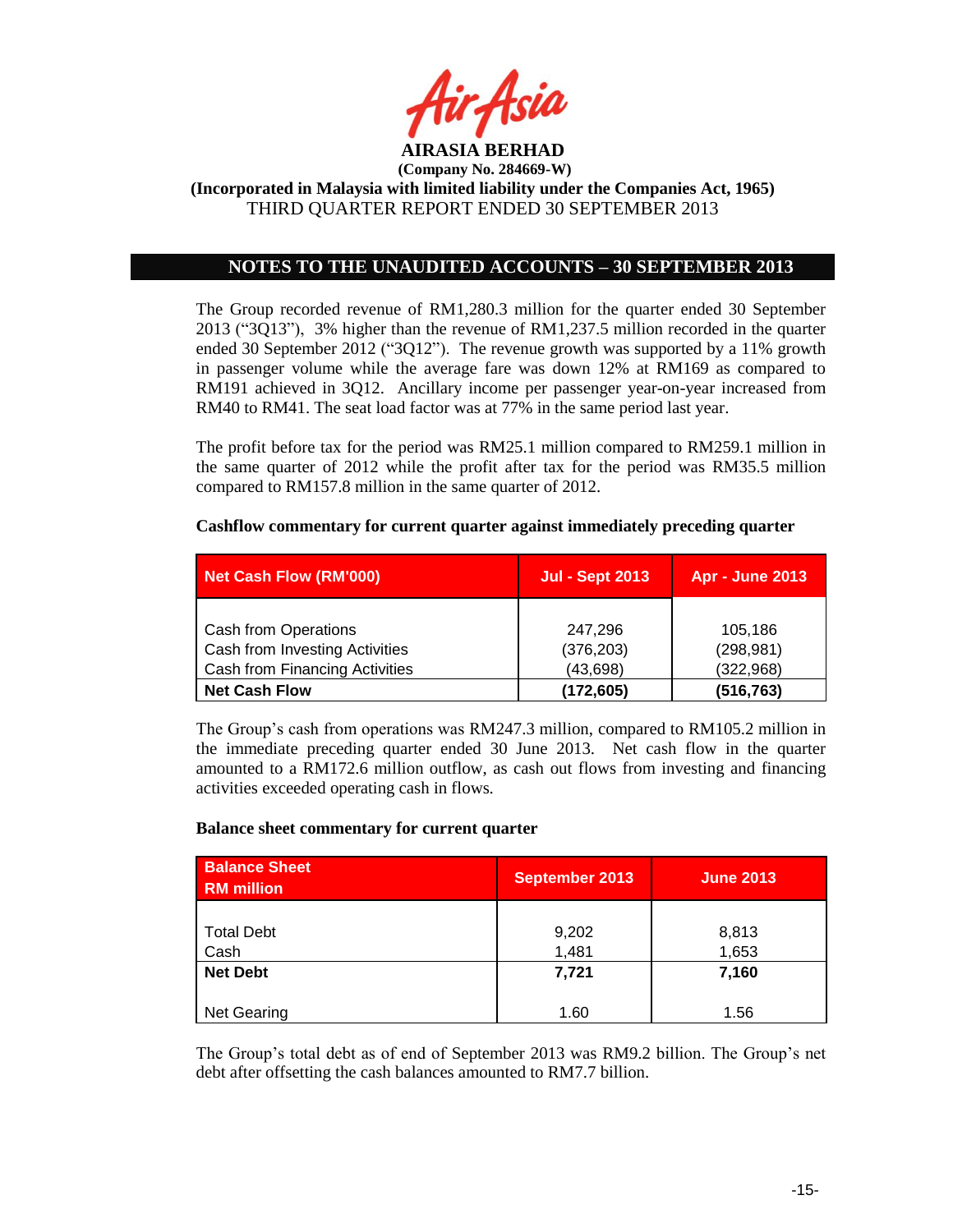

## **NOTES TO THE UNAUDITED ACCOUNTS – 30 SEPTEMBER 2013**

The Group recorded revenue of RM1,280.3 million for the quarter ended 30 September 2013 ("3Q13"), 3% higher than the revenue of RM1,237.5 million recorded in the quarter ended 30 September 2012 ("3Q12"). The revenue growth was supported by a 11% growth in passenger volume while the average fare was down 12% at RM169 as compared to RM191 achieved in 3Q12. Ancillary income per passenger year-on-year increased from RM40 to RM41. The seat load factor was at 77% in the same period last year.

The profit before tax for the period was RM25.1 million compared to RM259.1 million in the same quarter of 2012 while the profit after tax for the period was RM35.5 million compared to RM157.8 million in the same quarter of 2012.

## **Cashflow commentary for current quarter against immediately preceding quarter**

| Net Cash Flow (RM'000)         | <b>Jul - Sept 2013</b> | <b>Apr - June 2013</b> |
|--------------------------------|------------------------|------------------------|
|                                |                        |                        |
| <b>Cash from Operations</b>    | 247.296                | 105,186                |
| Cash from Investing Activities | (376, 203)             | (298, 981)             |
| Cash from Financing Activities | (43, 698)              | (322,968)              |
| <b>Net Cash Flow</b>           | (172,605)              | (516, 763)             |

The Group"s cash from operations was RM247.3 million, compared to RM105.2 million in the immediate preceding quarter ended 30 June 2013. Net cash flow in the quarter amounted to a RM172.6 million outflow, as cash out flows from investing and financing activities exceeded operating cash in flows.

#### **Balance sheet commentary for current quarter**

| <b>Balance Sheet</b><br><b>RM</b> million | <b>September 2013</b> | <b>June 2013</b> |
|-------------------------------------------|-----------------------|------------------|
| <b>Total Debt</b><br>Cash                 | 9,202<br>1,481        | 8,813<br>1,653   |
| <b>Net Debt</b>                           | 7,721                 | 7,160            |
| <b>Net Gearing</b>                        | 1.60                  | 1.56             |

The Group"s total debt as of end of September 2013 was RM9.2 billion. The Group"s net debt after offsetting the cash balances amounted to RM7.7 billion.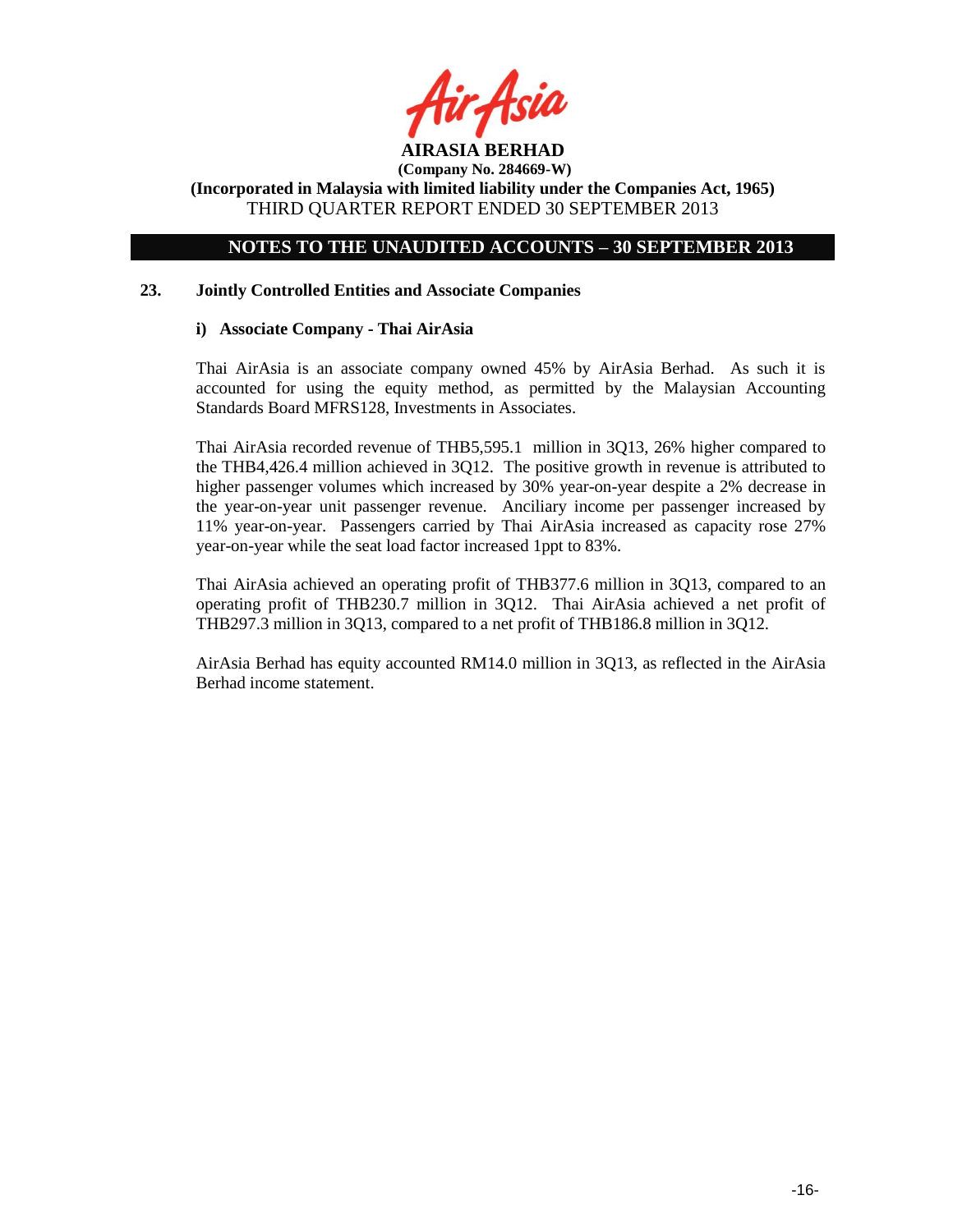

**(Company No. 284669-W)**

**(Incorporated in Malaysia with limited liability under the Companies Act, 1965)** THIRD QUARTER REPORT ENDED 30 SEPTEMBER 2013

## **NOTES TO THE UNAUDITED ACCOUNTS – 30 SEPTEMBER 2013**

### **23. Jointly Controlled Entities and Associate Companies**

## **i) Associate Company - Thai AirAsia**

Thai AirAsia is an associate company owned 45% by AirAsia Berhad. As such it is accounted for using the equity method, as permitted by the Malaysian Accounting Standards Board MFRS128, Investments in Associates.

Thai AirAsia recorded revenue of THB5,595.1 million in 3Q13, 26% higher compared to the THB4,426.4 million achieved in 3Q12. The positive growth in revenue is attributed to higher passenger volumes which increased by 30% year-on-year despite a 2% decrease in the year-on-year unit passenger revenue. Anciliary income per passenger increased by 11% year-on-year. Passengers carried by Thai AirAsia increased as capacity rose 27% year-on-year while the seat load factor increased 1ppt to 83%.

Thai AirAsia achieved an operating profit of THB377.6 million in 3Q13, compared to an operating profit of THB230.7 million in 3Q12. Thai AirAsia achieved a net profit of THB297.3 million in 3Q13, compared to a net profit of THB186.8 million in 3Q12.

AirAsia Berhad has equity accounted RM14.0 million in 3Q13, as reflected in the AirAsia Berhad income statement.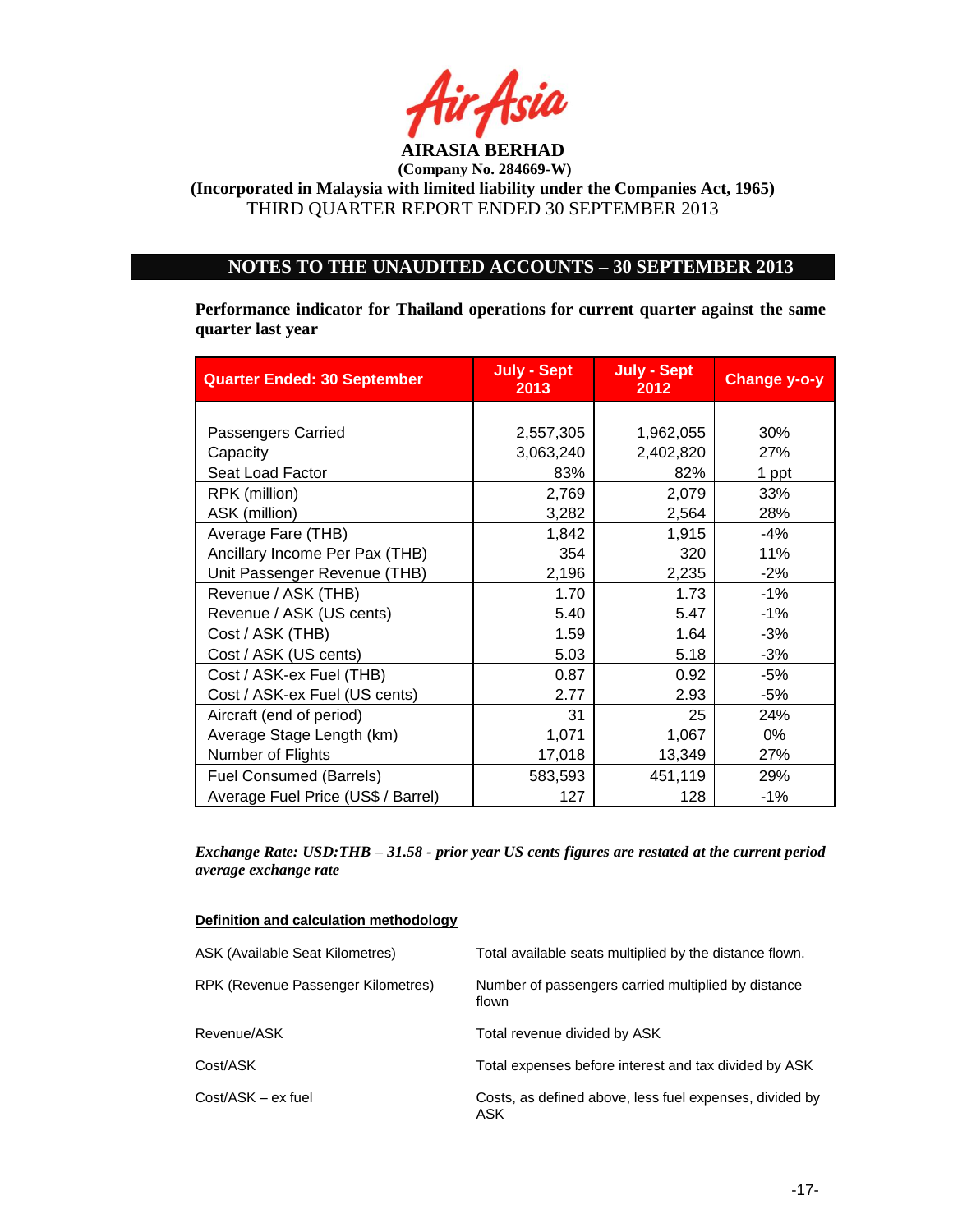

## **NOTES TO THE UNAUDITED ACCOUNTS – 30 SEPTEMBER 2013**

**Performance indicator for Thailand operations for current quarter against the same quarter last year**

| <b>Quarter Ended: 30 September</b> | <b>July - Sept</b><br>2013 | <b>July - Sept</b><br>2012 | <b>Change y-o-y</b> |
|------------------------------------|----------------------------|----------------------------|---------------------|
|                                    |                            |                            |                     |
| Passengers Carried                 | 2,557,305                  | 1,962,055                  | 30%                 |
| Capacity                           | 3,063,240                  | 2,402,820                  | 27%                 |
| Seat Load Factor                   | 83%                        | 82%                        | 1 ppt               |
| RPK (million)                      | 2,769                      | 2,079                      | 33%                 |
| ASK (million)                      | 3,282                      | 2,564                      | 28%                 |
| Average Fare (THB)                 | 1,842                      | 1,915                      | -4%                 |
| Ancillary Income Per Pax (THB)     | 354                        | 320                        | 11%                 |
| Unit Passenger Revenue (THB)       | 2,196                      | 2,235                      | $-2%$               |
| Revenue / ASK (THB)                | 1.70                       | 1.73                       | $-1%$               |
| Revenue / ASK (US cents)           | 5.40                       | 5.47                       | $-1%$               |
| Cost / ASK (THB)                   | 1.59                       | 1.64                       | $-3%$               |
| Cost / ASK (US cents)              | 5.03                       | 5.18                       | $-3%$               |
| Cost / ASK-ex Fuel (THB)           | 0.87                       | 0.92                       | $-5%$               |
| Cost / ASK-ex Fuel (US cents)      | 2.77                       | 2.93                       | $-5%$               |
| Aircraft (end of period)           | 31                         | 25                         | 24%                 |
| Average Stage Length (km)          | 1,071                      | 1,067                      | 0%                  |
| Number of Flights                  | 17,018                     | 13,349                     | 27%                 |
| Fuel Consumed (Barrels)            | 583,593                    | 451,119                    | 29%                 |
| Average Fuel Price (US\$ / Barrel) | 127                        | 128                        | $-1%$               |

*Exchange Rate: USD:THB – 31.58 - prior year US cents figures are restated at the current period average exchange rate*

#### **Definition and calculation methodology**

| ASK (Available Seat Kilometres)    | Total available seats multiplied by the distance flown.        |
|------------------------------------|----------------------------------------------------------------|
| RPK (Revenue Passenger Kilometres) | Number of passengers carried multiplied by distance<br>flown   |
| Revenue/ASK                        | Total revenue divided by ASK                                   |
| Cost/ASK                           | Total expenses before interest and tax divided by ASK          |
| Cost/ASK - ex fuel                 | Costs, as defined above, less fuel expenses, divided by<br>ASK |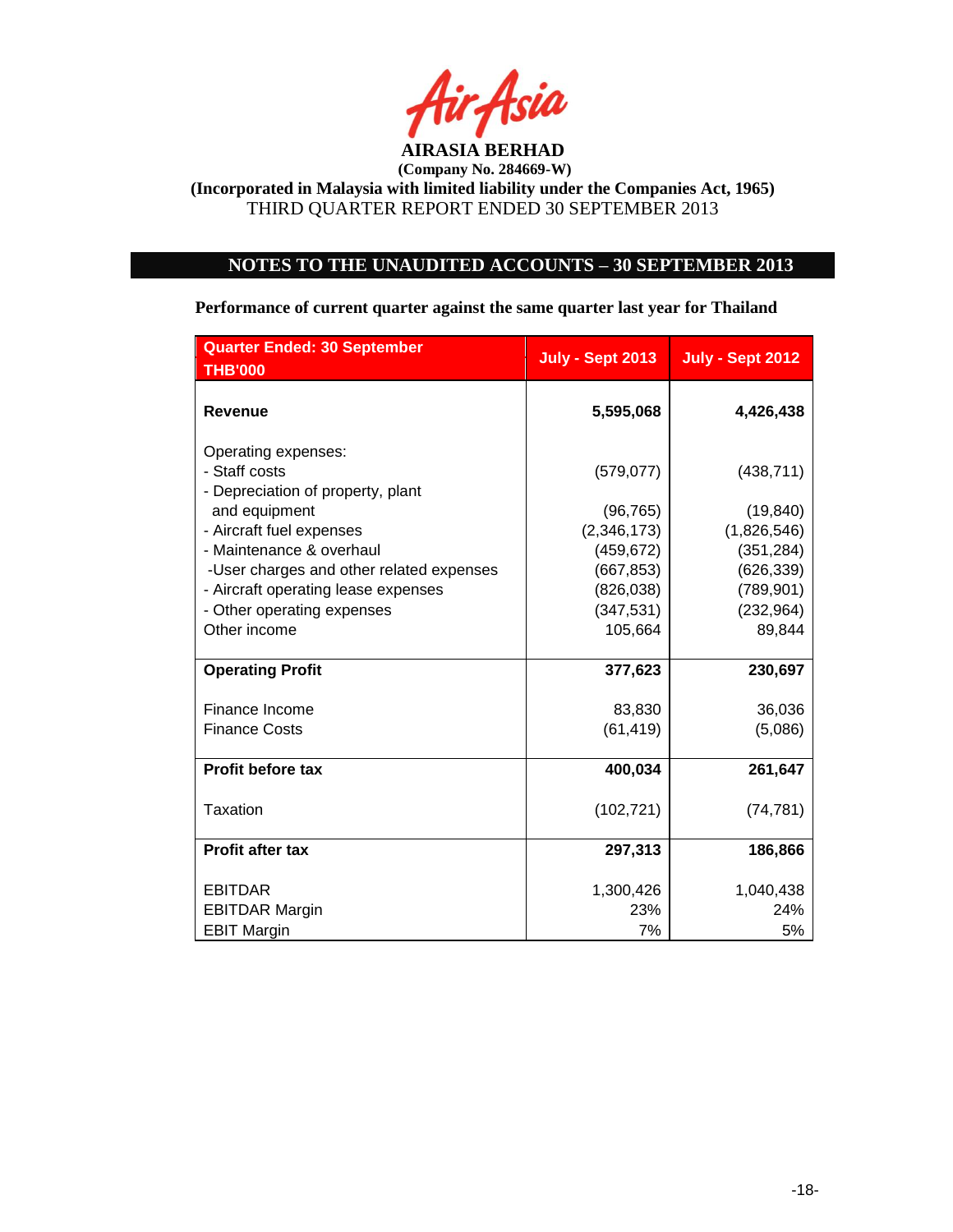

# **NOTES TO THE UNAUDITED ACCOUNTS – 30 SEPTEMBER 2013**

**Performance of current quarter against the same quarter last year for Thailand**

| <b>Quarter Ended: 30 September</b><br><b>THB'000</b>                      | <b>July - Sept 2013</b> | <b>July - Sept 2012</b> |
|---------------------------------------------------------------------------|-------------------------|-------------------------|
| <b>Revenue</b>                                                            | 5,595,068               | 4,426,438               |
| Operating expenses:<br>- Staff costs<br>- Depreciation of property, plant | (579, 077)              | (438, 711)              |
| and equipment                                                             | (96, 765)               | (19, 840)               |
| - Aircraft fuel expenses                                                  | (2,346,173)             | (1,826,546)             |
| - Maintenance & overhaul                                                  | (459, 672)              | (351, 284)              |
| -User charges and other related expenses                                  | (667, 853)              | (626, 339)              |
| - Aircraft operating lease expenses                                       | (826, 038)              | (789, 901)              |
| - Other operating expenses                                                | (347, 531)              | (232, 964)              |
| Other income                                                              | 105,664                 | 89,844                  |
| <b>Operating Profit</b>                                                   | 377,623                 | 230,697                 |
| Finance Income                                                            | 83,830                  | 36,036                  |
| <b>Finance Costs</b>                                                      | (61, 419)               | (5,086)                 |
| Profit before tax                                                         | 400,034                 | 261,647                 |
| Taxation                                                                  | (102, 721)              | (74, 781)               |
| <b>Profit after tax</b>                                                   | 297,313                 | 186,866                 |
| <b>EBITDAR</b>                                                            | 1,300,426               | 1,040,438               |
| <b>EBITDAR Margin</b>                                                     | 23%                     | 24%                     |
| <b>EBIT Margin</b>                                                        | 7%                      | 5%                      |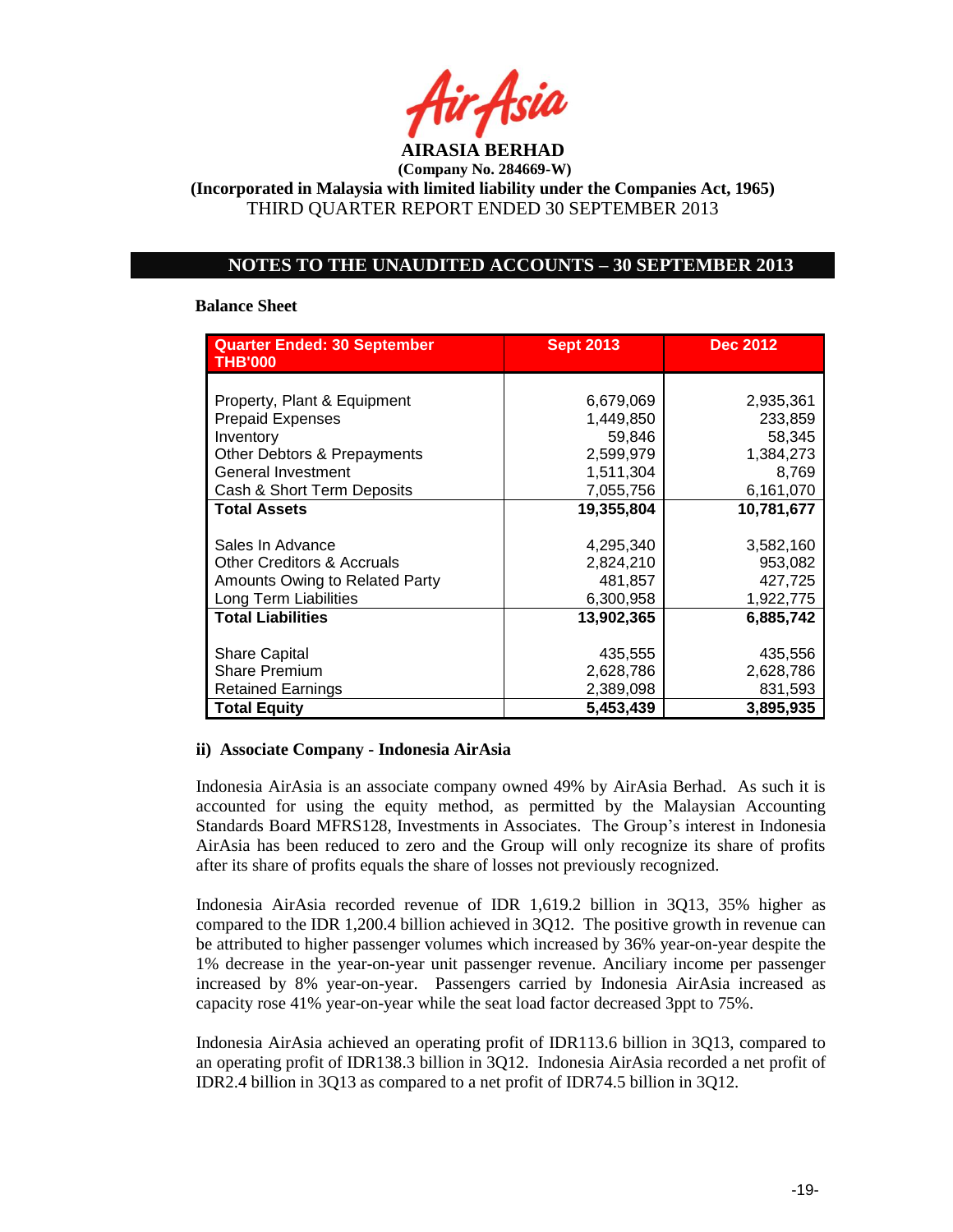

**(Company No. 284669-W)**

**(Incorporated in Malaysia with limited liability under the Companies Act, 1965)** THIRD QUARTER REPORT ENDED 30 SEPTEMBER 2013

## **NOTES TO THE UNAUDITED ACCOUNTS – 30 SEPTEMBER 2013**

#### **Balance Sheet**

| <b>Quarter Ended: 30 September</b><br><b>THB'000</b> | <b>Sept 2013</b> | <b>Dec 2012</b> |
|------------------------------------------------------|------------------|-----------------|
|                                                      |                  |                 |
| Property, Plant & Equipment                          | 6,679,069        | 2,935,361       |
| <b>Prepaid Expenses</b>                              | 1,449,850        | 233,859         |
| Inventory                                            | 59,846           | 58,345          |
| Other Debtors & Prepayments                          | 2,599,979        | 1,384,273       |
| General Investment                                   | 1,511,304        | 8,769           |
| Cash & Short Term Deposits                           | 7,055,756        | 6,161,070       |
| <b>Total Assets</b>                                  | 19.355.804       | 10,781,677      |
|                                                      |                  |                 |
| Sales In Advance                                     | 4,295,340        | 3,582,160       |
| <b>Other Creditors &amp; Accruals</b>                | 2,824,210        | 953,082         |
| Amounts Owing to Related Party                       | 481,857          | 427,725         |
| Long Term Liabilities                                | 6,300,958        | 1,922,775       |
| <b>Total Liabilities</b>                             | 13,902,365       | 6,885,742       |
|                                                      |                  |                 |
| <b>Share Capital</b>                                 | 435,555          | 435,556         |
| <b>Share Premium</b>                                 | 2,628,786        | 2,628,786       |
| <b>Retained Earnings</b>                             | 2,389,098        | 831,593         |
| <b>Total Equity</b>                                  | 5,453,439        | 3,895,935       |

## **ii) Associate Company - Indonesia AirAsia**

Indonesia AirAsia is an associate company owned 49% by AirAsia Berhad. As such it is accounted for using the equity method, as permitted by the Malaysian Accounting Standards Board MFRS128, Investments in Associates. The Group"s interest in Indonesia AirAsia has been reduced to zero and the Group will only recognize its share of profits after its share of profits equals the share of losses not previously recognized.

Indonesia AirAsia recorded revenue of IDR 1,619.2 billion in 3Q13, 35% higher as compared to the IDR 1,200.4 billion achieved in 3Q12. The positive growth in revenue can be attributed to higher passenger volumes which increased by 36% year-on-year despite the 1% decrease in the year-on-year unit passenger revenue. Anciliary income per passenger increased by 8% year-on-year. Passengers carried by Indonesia AirAsia increased as capacity rose 41% year-on-year while the seat load factor decreased 3ppt to 75%.

Indonesia AirAsia achieved an operating profit of IDR113.6 billion in 3Q13, compared to an operating profit of IDR138.3 billion in 3Q12. Indonesia AirAsia recorded a net profit of IDR2.4 billion in 3Q13 as compared to a net profit of IDR74.5 billion in 3Q12.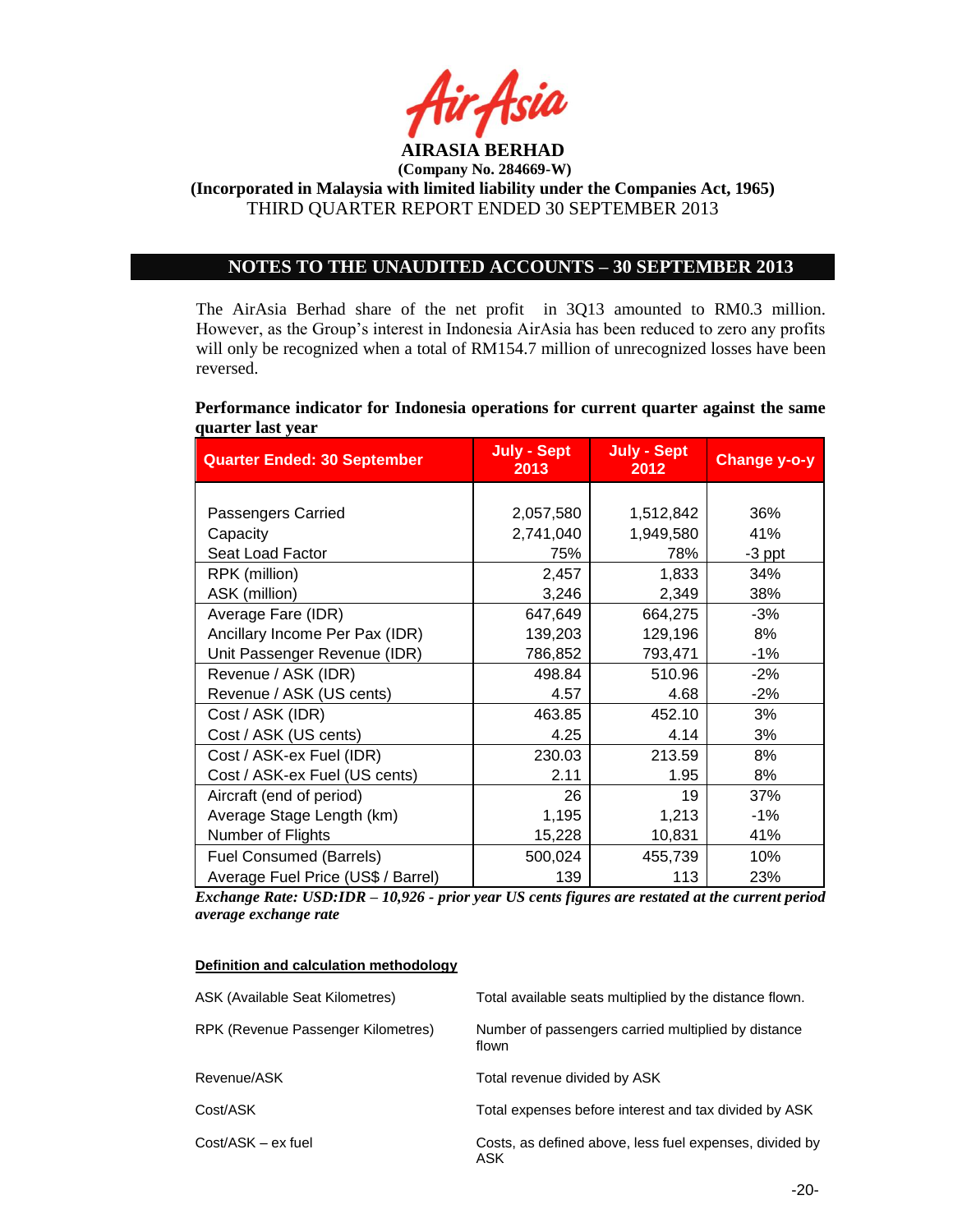

## **NOTES TO THE UNAUDITED ACCOUNTS – 30 SEPTEMBER 2013**

The AirAsia Berhad share of the net profit in 3Q13 amounted to RM0.3 million. However, as the Group"s interest in Indonesia AirAsia has been reduced to zero any profits will only be recognized when a total of RM154.7 million of unrecognized losses have been reversed.

**Performance indicator for Indonesia operations for current quarter against the same quarter last year**

| <b>Quarter Ended: 30 September</b> | <b>July - Sept</b><br>2013 | <b>July - Sept</b><br>2012 | Change y-o-y |
|------------------------------------|----------------------------|----------------------------|--------------|
|                                    |                            |                            |              |
| Passengers Carried                 | 2,057,580                  | 1,512,842                  | 36%          |
| Capacity                           | 2,741,040                  | 1,949,580                  | 41%          |
| Seat Load Factor                   | 75%                        | 78%                        | $-3$ ppt     |
| RPK (million)                      | 2,457                      | 1,833                      | 34%          |
| ASK (million)                      | 3,246                      | 2,349                      | 38%          |
| Average Fare (IDR)                 | 647,649                    | 664,275                    | $-3%$        |
| Ancillary Income Per Pax (IDR)     | 139,203                    | 129,196                    | 8%           |
| Unit Passenger Revenue (IDR)       | 786,852                    | 793,471                    | $-1%$        |
| Revenue / ASK (IDR)                | 498.84                     | 510.96                     | $-2%$        |
| Revenue / ASK (US cents)           | 4.57                       | 4.68                       | $-2\%$       |
| Cost / ASK (IDR)                   | 463.85                     | 452.10                     | 3%           |
| Cost / ASK (US cents)              | 4.25                       | 4.14                       | 3%           |
| Cost / ASK-ex Fuel (IDR)           | 230.03                     | 213.59                     | 8%           |
| Cost / ASK-ex Fuel (US cents)      | 2.11                       | 1.95                       | 8%           |
| Aircraft (end of period)           | 26                         | 19                         | 37%          |
| Average Stage Length (km)          | 1,195                      | 1,213                      | $-1\%$       |
| Number of Flights                  | 15,228                     | 10,831                     | 41%          |
| <b>Fuel Consumed (Barrels)</b>     | 500,024                    | 455,739                    | 10%          |
| Average Fuel Price (US\$ / Barrel) | 139                        | 113                        | 23%          |

*Exchange Rate: USD:IDR – 10,926 - prior year US cents figures are restated at the current period average exchange rate*

#### **Definition and calculation methodology**

| ASK (Available Seat Kilometres)    | Total available seats multiplied by the distance flown.        |
|------------------------------------|----------------------------------------------------------------|
| RPK (Revenue Passenger Kilometres) | Number of passengers carried multiplied by distance<br>flown   |
| Revenue/ASK                        | Total revenue divided by ASK                                   |
| Cost/ASK                           | Total expenses before interest and tax divided by ASK          |
| $Cost/ASK - ex fuel$               | Costs, as defined above, less fuel expenses, divided by<br>ASK |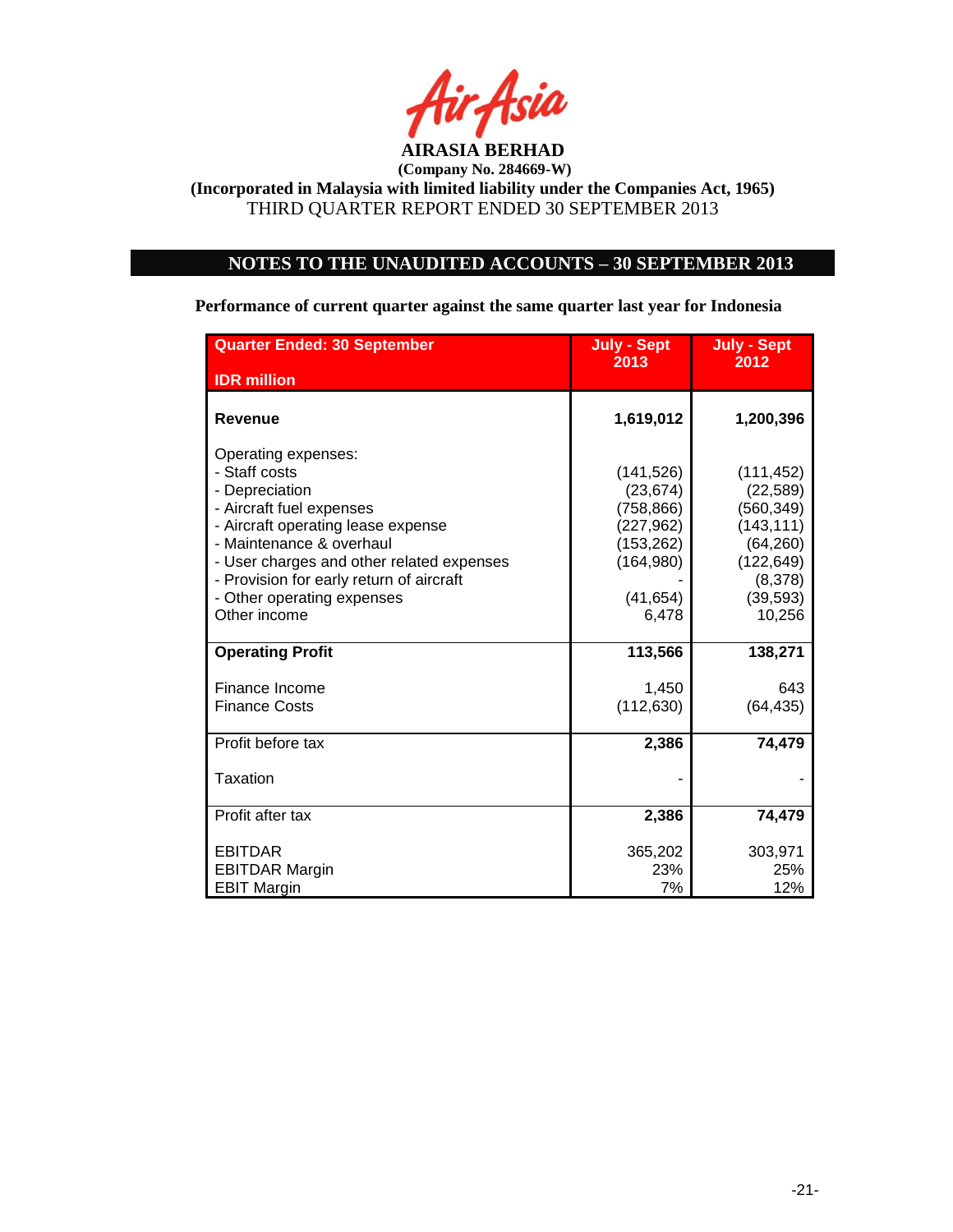

# **NOTES TO THE UNAUDITED ACCOUNTS – 30 SEPTEMBER 2013**

**Performance of current quarter against the same quarter last year for Indonesia**

| <b>Quarter Ended: 30 September</b>        | <b>July - Sept</b><br>2013 | <b>July - Sept</b><br>2012 |
|-------------------------------------------|----------------------------|----------------------------|
| <b>IDR</b> million                        |                            |                            |
| Revenue                                   | 1,619,012                  | 1,200,396                  |
| Operating expenses:                       |                            |                            |
| - Staff costs                             | (141, 526)                 | (111, 452)                 |
| - Depreciation                            | (23, 674)                  | (22, 589)                  |
| - Aircraft fuel expenses                  | (758, 866)                 | (560, 349)                 |
| - Aircraft operating lease expense        | (227, 962)                 | (143, 111)                 |
| - Maintenance & overhaul                  | (153, 262)                 | (64, 260)                  |
| - User charges and other related expenses | (164, 980)                 | (122, 649)                 |
| - Provision for early return of aircraft  |                            | (8,378)                    |
| - Other operating expenses                | (41, 654)                  | (39, 593)                  |
| Other income                              | 6,478                      | 10,256                     |
| <b>Operating Profit</b>                   | 113,566                    | 138,271                    |
| Finance Income                            | 1,450                      | 643                        |
| <b>Finance Costs</b>                      | (112, 630)                 | (64, 435)                  |
|                                           |                            |                            |
| Profit before tax                         | 2,386                      | 74,479                     |
| Taxation                                  |                            |                            |
| Profit after tax                          | 2,386                      | 74,479                     |
|                                           |                            |                            |
| <b>EBITDAR</b>                            | 365,202                    | 303,971                    |
| <b>EBITDAR Margin</b>                     | 23%                        | 25%                        |
| <b>EBIT Margin</b>                        | 7%                         | 12%                        |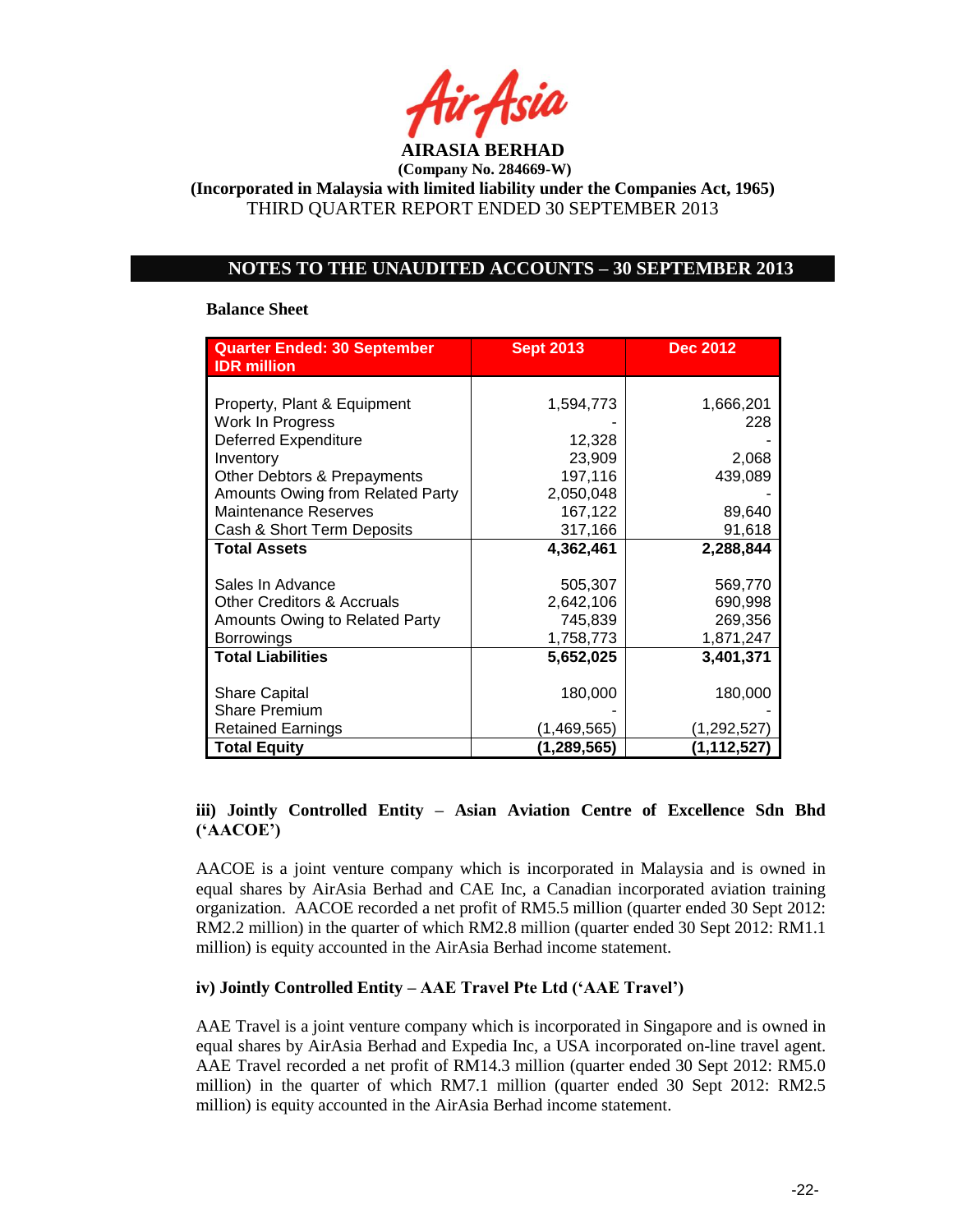

**(Company No. 284669-W)**

**(Incorporated in Malaysia with limited liability under the Companies Act, 1965)** THIRD QUARTER REPORT ENDED 30 SEPTEMBER 2013

## **NOTES TO THE UNAUDITED ACCOUNTS – 30 SEPTEMBER 2013**

#### **Balance Sheet**

| <b>Quarter Ended: 30 September</b><br><b>IDR</b> million | <b>Sept 2013</b> | <b>Dec 2012</b> |
|----------------------------------------------------------|------------------|-----------------|
|                                                          |                  |                 |
| Property, Plant & Equipment                              | 1,594,773        | 1,666,201       |
| Work In Progress                                         |                  | 228             |
| <b>Deferred Expenditure</b>                              | 12,328           |                 |
| Inventory                                                | 23,909           | 2,068           |
| Other Debtors & Prepayments                              | 197,116          | 439,089         |
| Amounts Owing from Related Party                         | 2,050,048        |                 |
| <b>Maintenance Reserves</b>                              | 167,122          | 89,640          |
| Cash & Short Term Deposits                               | 317,166          | 91,618          |
| <b>Total Assets</b>                                      | 4,362,461        | 2,288,844       |
|                                                          |                  |                 |
| Sales In Advance                                         | 505,307          | 569,770         |
| <b>Other Creditors &amp; Accruals</b>                    | 2,642,106        | 690,998         |
| Amounts Owing to Related Party                           | 745,839          | 269,356         |
| <b>Borrowings</b>                                        | 1,758,773        | 1,871,247       |
| <b>Total Liabilities</b>                                 | 5,652,025        | 3,401,371       |
| <b>Share Capital</b>                                     | 180,000          | 180,000         |
| <b>Share Premium</b>                                     |                  |                 |
| <b>Retained Earnings</b>                                 | (1,469,565)      | (1,292,527)     |
| <b>Total Equity</b>                                      | (1,289,565)      | (1, 112, 527)   |

## **iii) Jointly Controlled Entity – Asian Aviation Centre of Excellence Sdn Bhd ('AACOE')**

AACOE is a joint venture company which is incorporated in Malaysia and is owned in equal shares by AirAsia Berhad and CAE Inc, a Canadian incorporated aviation training organization. AACOE recorded a net profit of RM5.5 million (quarter ended 30 Sept 2012: RM2.2 million) in the quarter of which RM2.8 million (quarter ended 30 Sept 2012: RM1.1 million) is equity accounted in the AirAsia Berhad income statement.

## **iv) Jointly Controlled Entity – AAE Travel Pte Ltd ('AAE Travel')**

AAE Travel is a joint venture company which is incorporated in Singapore and is owned in equal shares by AirAsia Berhad and Expedia Inc, a USA incorporated on-line travel agent. AAE Travel recorded a net profit of RM14.3 million (quarter ended 30 Sept 2012: RM5.0 million) in the quarter of which RM7.1 million (quarter ended 30 Sept 2012: RM2.5 million) is equity accounted in the AirAsia Berhad income statement.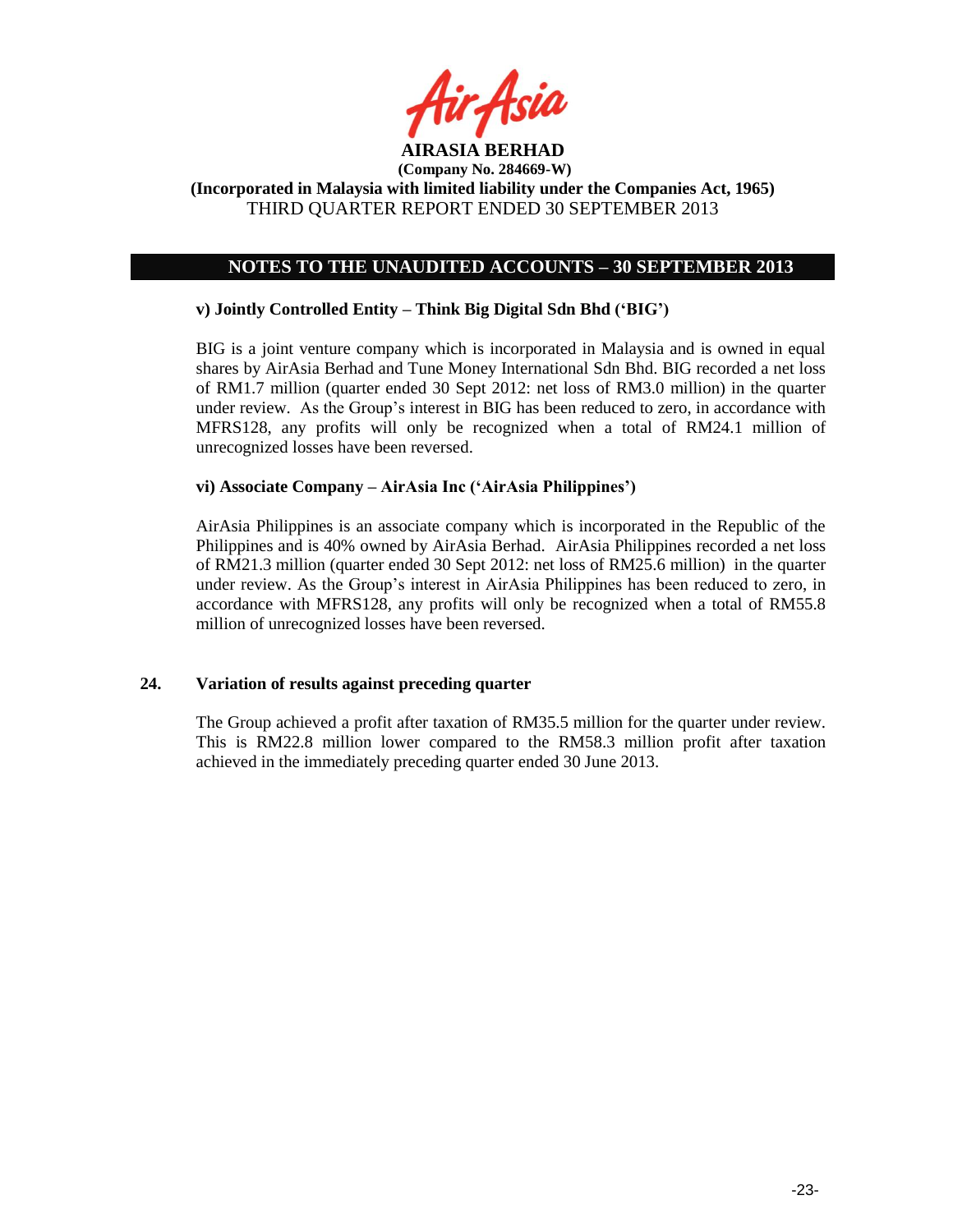

## **NOTES TO THE UNAUDITED ACCOUNTS – 30 SEPTEMBER 2013**

### **v) Jointly Controlled Entity – Think Big Digital Sdn Bhd ('BIG')**

BIG is a joint venture company which is incorporated in Malaysia and is owned in equal shares by AirAsia Berhad and Tune Money International Sdn Bhd. BIG recorded a net loss of RM1.7 million (quarter ended 30 Sept 2012: net loss of RM3.0 million) in the quarter under review. As the Group"s interest in BIG has been reduced to zero, in accordance with MFRS128, any profits will only be recognized when a total of RM24.1 million of unrecognized losses have been reversed.

### **vi) Associate Company – AirAsia Inc ('AirAsia Philippines')**

AirAsia Philippines is an associate company which is incorporated in the Republic of the Philippines and is 40% owned by AirAsia Berhad. AirAsia Philippines recorded a net loss of RM21.3 million (quarter ended 30 Sept 2012: net loss of RM25.6 million) in the quarter under review. As the Group"s interest in AirAsia Philippines has been reduced to zero, in accordance with MFRS128, any profits will only be recognized when a total of RM55.8 million of unrecognized losses have been reversed.

### **24. Variation of results against preceding quarter**

The Group achieved a profit after taxation of RM35.5 million for the quarter under review. This is RM22.8 million lower compared to the RM58.3 million profit after taxation achieved in the immediately preceding quarter ended 30 June 2013.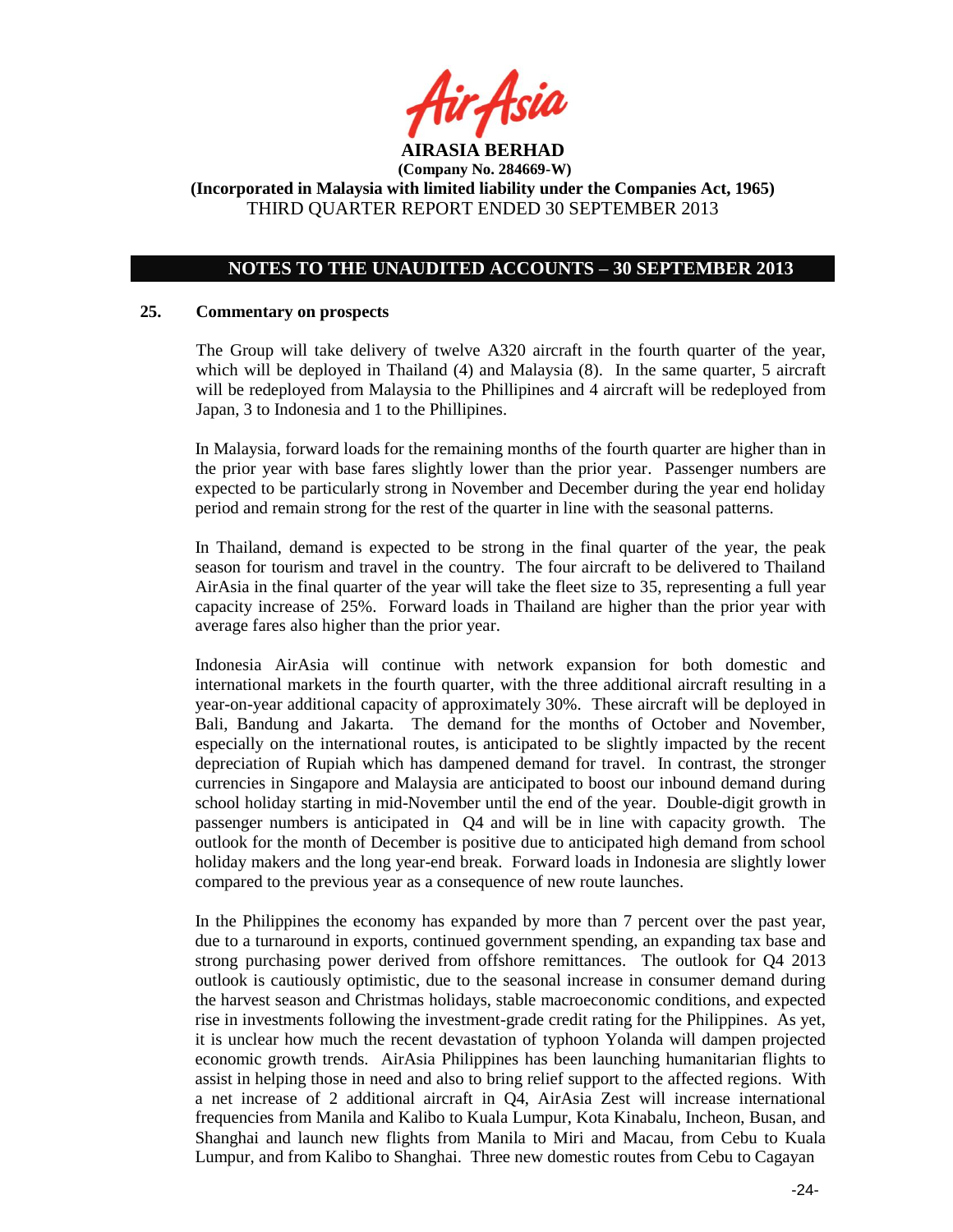

## **NOTES TO THE UNAUDITED ACCOUNTS – 30 SEPTEMBER 2013**

#### **25. Commentary on prospects**

The Group will take delivery of twelve A320 aircraft in the fourth quarter of the year, which will be deployed in Thailand (4) and Malaysia (8). In the same quarter, 5 aircraft will be redeployed from Malaysia to the Phillipines and 4 aircraft will be redeployed from Japan, 3 to Indonesia and 1 to the Phillipines.

In Malaysia, forward loads for the remaining months of the fourth quarter are higher than in the prior year with base fares slightly lower than the prior year. Passenger numbers are expected to be particularly strong in November and December during the year end holiday period and remain strong for the rest of the quarter in line with the seasonal patterns.

In Thailand, demand is expected to be strong in the final quarter of the year, the peak season for tourism and travel in the country. The four aircraft to be delivered to Thailand AirAsia in the final quarter of the year will take the fleet size to 35, representing a full year capacity increase of 25%. Forward loads in Thailand are higher than the prior year with average fares also higher than the prior year.

Indonesia AirAsia will continue with network expansion for both domestic and international markets in the fourth quarter, with the three additional aircraft resulting in a year-on-year additional capacity of approximately 30%. These aircraft will be deployed in Bali, Bandung and Jakarta. The demand for the months of October and November, especially on the international routes, is anticipated to be slightly impacted by the recent depreciation of Rupiah which has dampened demand for travel. In contrast, the stronger currencies in Singapore and Malaysia are anticipated to boost our inbound demand during school holiday starting in mid-November until the end of the year. Double-digit growth in passenger numbers is anticipated in Q4 and will be in line with capacity growth. The outlook for the month of December is positive due to anticipated high demand from school holiday makers and the long year-end break. Forward loads in Indonesia are slightly lower compared to the previous year as a consequence of new route launches.

In the Philippines the economy has expanded by more than 7 percent over the past year, due to a turnaround in exports, continued government spending, an expanding tax base and strong purchasing power derived from offshore remittances. The outlook for Q4 2013 outlook is cautiously optimistic, due to the seasonal increase in consumer demand during the harvest season and Christmas holidays, stable macroeconomic conditions, and expected rise in investments following the investment-grade credit rating for the Philippines. As yet, it is unclear how much the recent devastation of typhoon Yolanda will dampen projected economic growth trends. AirAsia Philippines has been launching humanitarian flights to assist in helping those in need and also to bring relief support to the affected regions. With a net increase of 2 additional aircraft in Q4, AirAsia Zest will increase international frequencies from Manila and Kalibo to Kuala Lumpur, Kota Kinabalu, Incheon, Busan, and Shanghai and launch new flights from Manila to Miri and Macau, from Cebu to Kuala Lumpur, and from Kalibo to Shanghai. Three new domestic routes from Cebu to Cagayan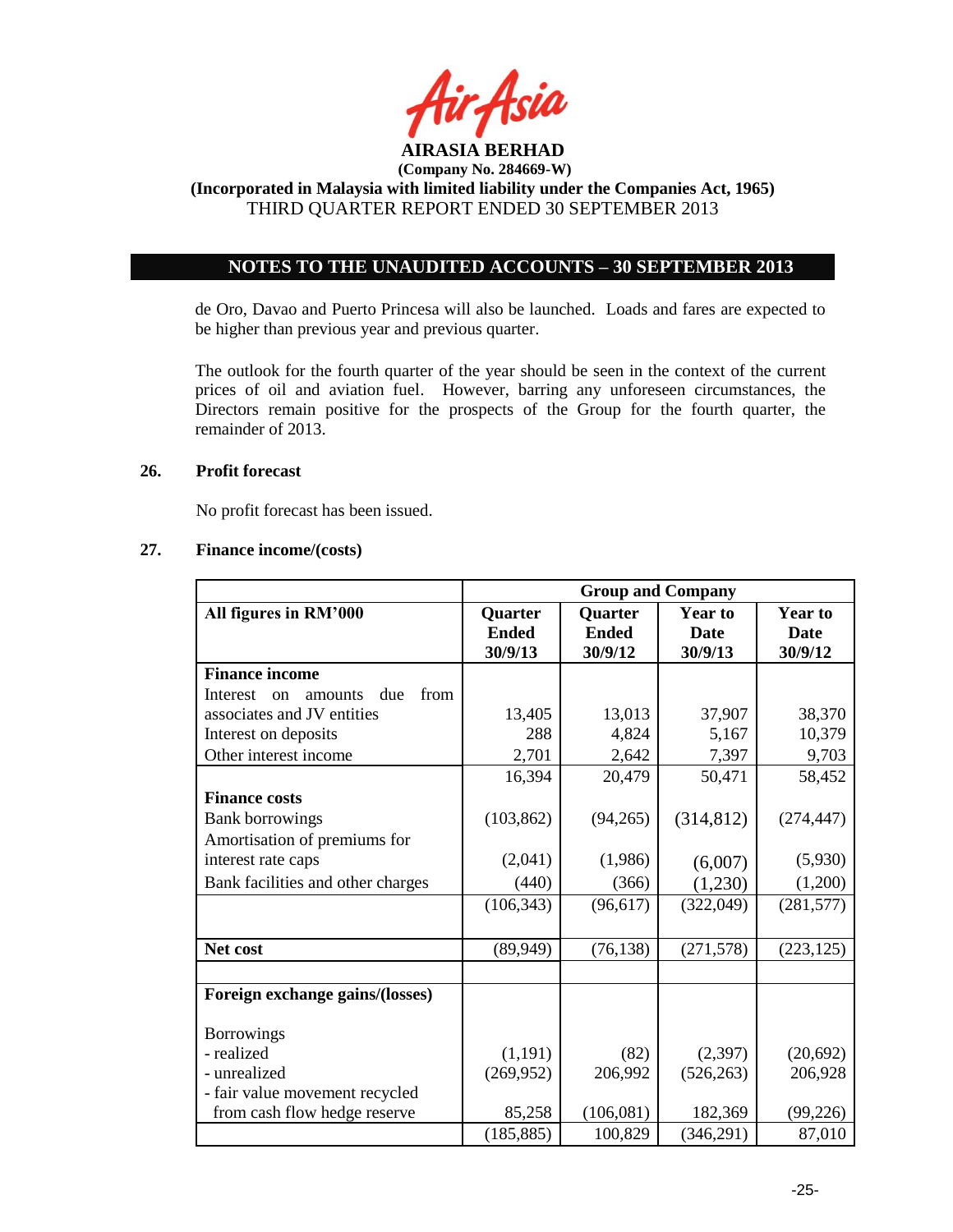

## **NOTES TO THE UNAUDITED ACCOUNTS – 30 SEPTEMBER 2013**

de Oro, Davao and Puerto Princesa will also be launched. Loads and fares are expected to be higher than previous year and previous quarter.

The outlook for the fourth quarter of the year should be seen in the context of the current prices of oil and aviation fuel. However, barring any unforeseen circumstances, the Directors remain positive for the prospects of the Group for the fourth quarter, the remainder of 2013.

## **26. Profit forecast**

No profit forecast has been issued.

## **27. Finance income/(costs)**

|                                          | <b>Group and Company</b>           |                                    |                                          |                                          |
|------------------------------------------|------------------------------------|------------------------------------|------------------------------------------|------------------------------------------|
| All figures in RM'000                    | Quarter<br><b>Ended</b><br>30/9/13 | Quarter<br><b>Ended</b><br>30/9/12 | <b>Year to</b><br><b>Date</b><br>30/9/13 | <b>Year to</b><br><b>Date</b><br>30/9/12 |
| <b>Finance income</b>                    |                                    |                                    |                                          |                                          |
| from<br>due<br>Interest<br>amounts<br>on |                                    |                                    |                                          |                                          |
| associates and JV entities               | 13,405                             | 13,013                             | 37,907                                   | 38,370                                   |
| Interest on deposits                     | 288                                | 4,824                              | 5,167                                    | 10,379                                   |
| Other interest income                    | 2,701                              | 2,642                              | 7,397                                    | 9,703                                    |
|                                          | 16,394                             | 20,479                             | 50,471                                   | 58,452                                   |
| <b>Finance costs</b>                     |                                    |                                    |                                          |                                          |
| <b>Bank borrowings</b>                   | (103, 862)                         | (94,265)                           | (314, 812)                               | (274, 447)                               |
| Amortisation of premiums for             |                                    |                                    |                                          |                                          |
| interest rate caps                       | (2,041)                            | (1,986)                            | (6,007)                                  | (5,930)                                  |
| Bank facilities and other charges        | (440)                              | (366)                              | (1,230)                                  | (1,200)                                  |
|                                          | (106, 343)                         | (96, 617)                          | (322, 049)                               | (281, 577)                               |
|                                          |                                    |                                    |                                          |                                          |
| Net cost                                 | (89, 949)                          | (76, 138)                          | (271, 578)                               | (223, 125)                               |
|                                          |                                    |                                    |                                          |                                          |
| Foreign exchange gains/(losses)          |                                    |                                    |                                          |                                          |
| <b>Borrowings</b>                        |                                    |                                    |                                          |                                          |
| - realized                               | (1,191)                            | (82)                               | (2,397)                                  | (20, 692)                                |
| - unrealized                             | (269, 952)                         | 206,992                            | (526, 263)                               | 206,928                                  |
| - fair value movement recycled           |                                    |                                    |                                          |                                          |
| from cash flow hedge reserve             | 85,258                             | (106, 081)                         | 182,369                                  | (99, 226)                                |
|                                          | (185, 885)                         | 100,829                            | (346, 291)                               | 87,010                                   |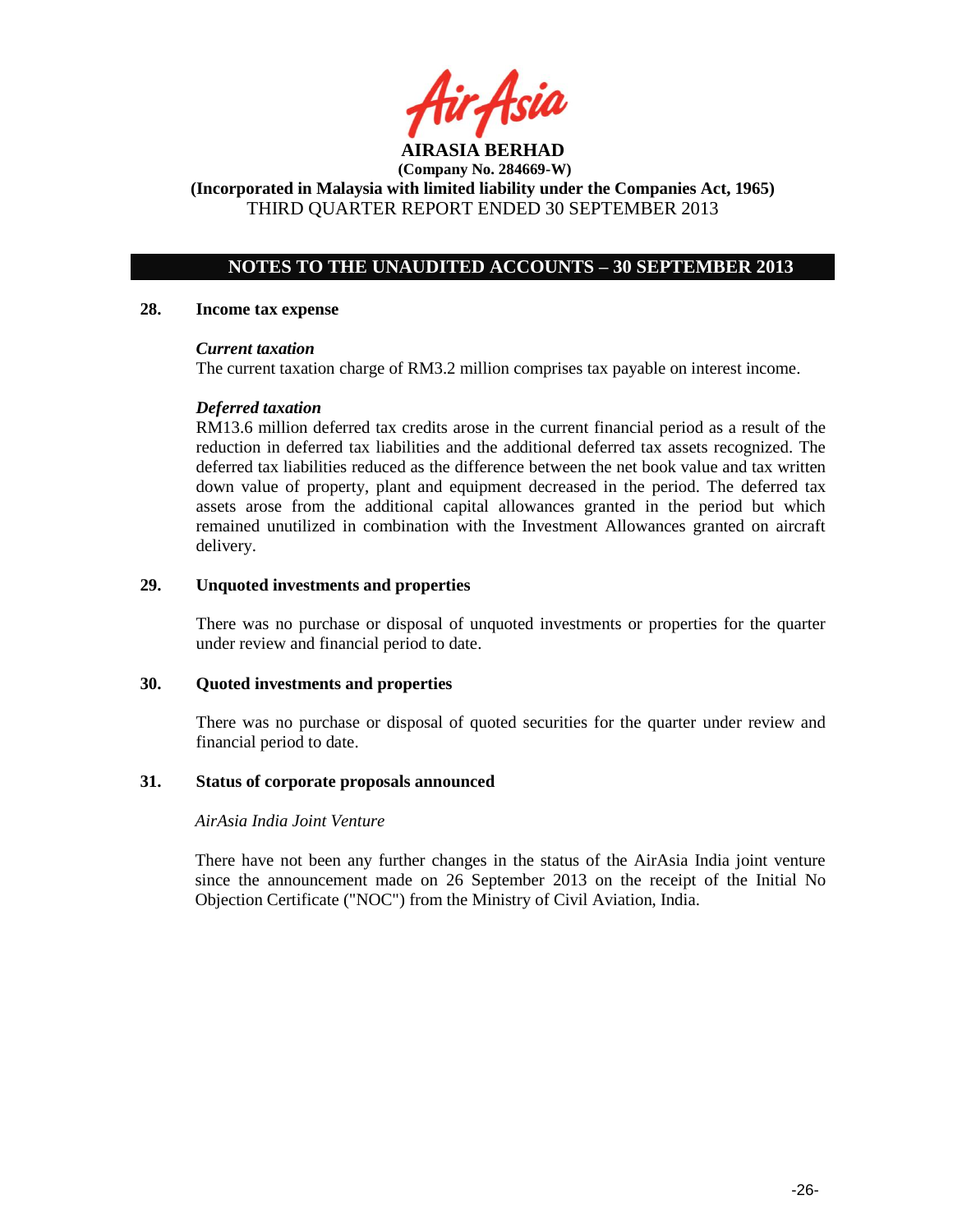

**(Company No. 284669-W)**

**(Incorporated in Malaysia with limited liability under the Companies Act, 1965)** THIRD QUARTER REPORT ENDED 30 SEPTEMBER 2013

## **NOTES TO THE UNAUDITED ACCOUNTS – 30 SEPTEMBER 2013**

### **28. Income tax expense**

### *Current taxation*

The current taxation charge of RM3.2 million comprises tax payable on interest income.

## *Deferred taxation*

RM13.6 million deferred tax credits arose in the current financial period as a result of the reduction in deferred tax liabilities and the additional deferred tax assets recognized. The deferred tax liabilities reduced as the difference between the net book value and tax written down value of property, plant and equipment decreased in the period. The deferred tax assets arose from the additional capital allowances granted in the period but which remained unutilized in combination with the Investment Allowances granted on aircraft delivery.

### **29. Unquoted investments and properties**

There was no purchase or disposal of unquoted investments or properties for the quarter under review and financial period to date.

## **30. Quoted investments and properties**

There was no purchase or disposal of quoted securities for the quarter under review and financial period to date.

## **31. Status of corporate proposals announced**

## *AirAsia India Joint Venture*

There have not been any further changes in the status of the AirAsia India joint venture since the announcement made on 26 September 2013 on the receipt of the Initial No Objection Certificate ("NOC") from the Ministry of Civil Aviation, India.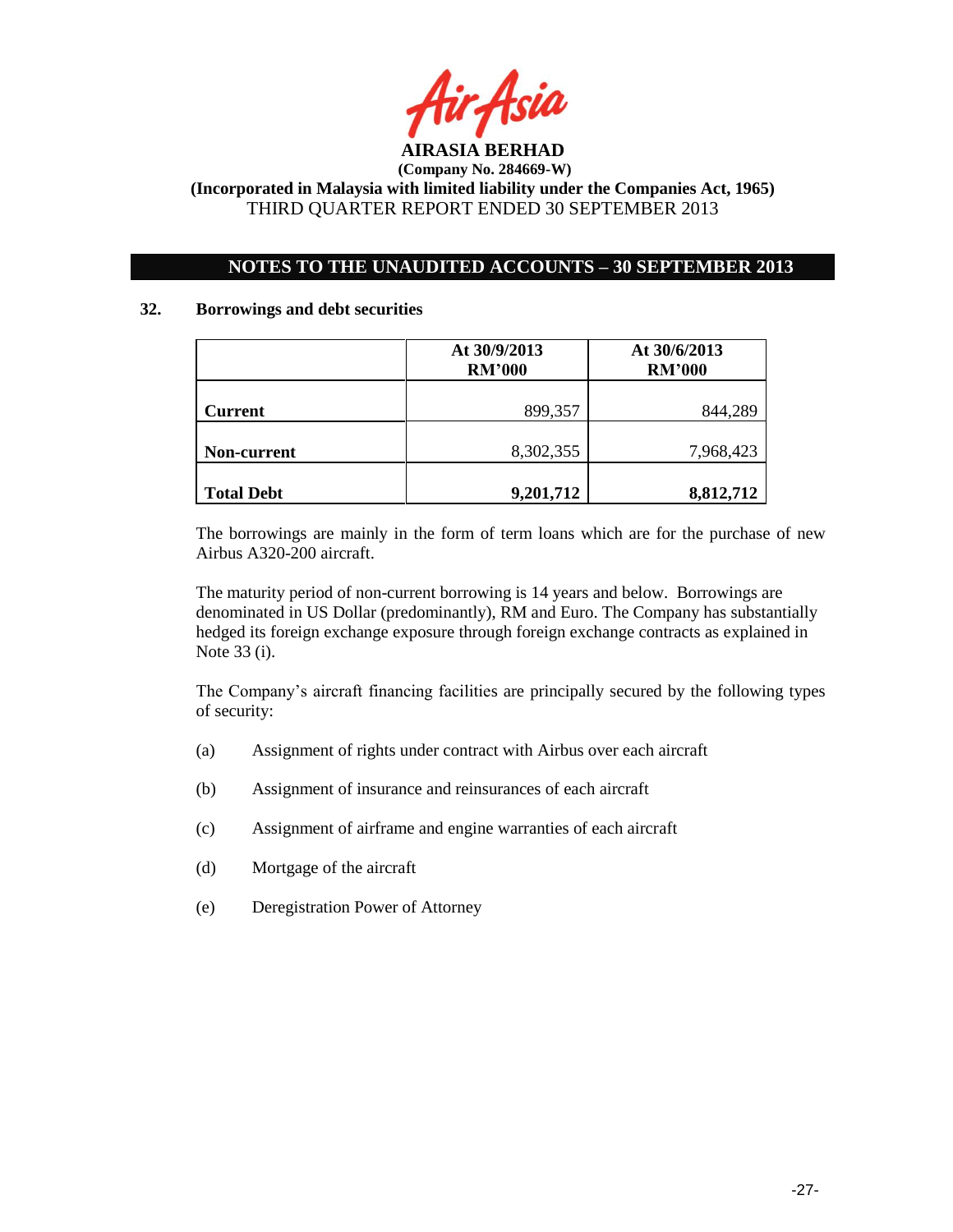

# **NOTES TO THE UNAUDITED ACCOUNTS – 30 SEPTEMBER 2013**

### **32. Borrowings and debt securities**

|                   | At 30/9/2013<br><b>RM'000</b> | At 30/6/2013<br><b>RM'000</b> |  |
|-------------------|-------------------------------|-------------------------------|--|
| <b>Current</b>    | 899,357                       | 844,289                       |  |
| Non-current       | 8,302,355                     | 7,968,423                     |  |
| <b>Total Debt</b> | 9,201,712                     | 8,812,712                     |  |

The borrowings are mainly in the form of term loans which are for the purchase of new Airbus A320-200 aircraft.

The maturity period of non-current borrowing is 14 years and below. Borrowings are denominated in US Dollar (predominantly), RM and Euro. The Company has substantially hedged its foreign exchange exposure through foreign exchange contracts as explained in Note 33 (i).

The Company"s aircraft financing facilities are principally secured by the following types of security:

- (a) Assignment of rights under contract with Airbus over each aircraft
- (b) Assignment of insurance and reinsurances of each aircraft
- (c) Assignment of airframe and engine warranties of each aircraft
- (d) Mortgage of the aircraft
- (e) Deregistration Power of Attorney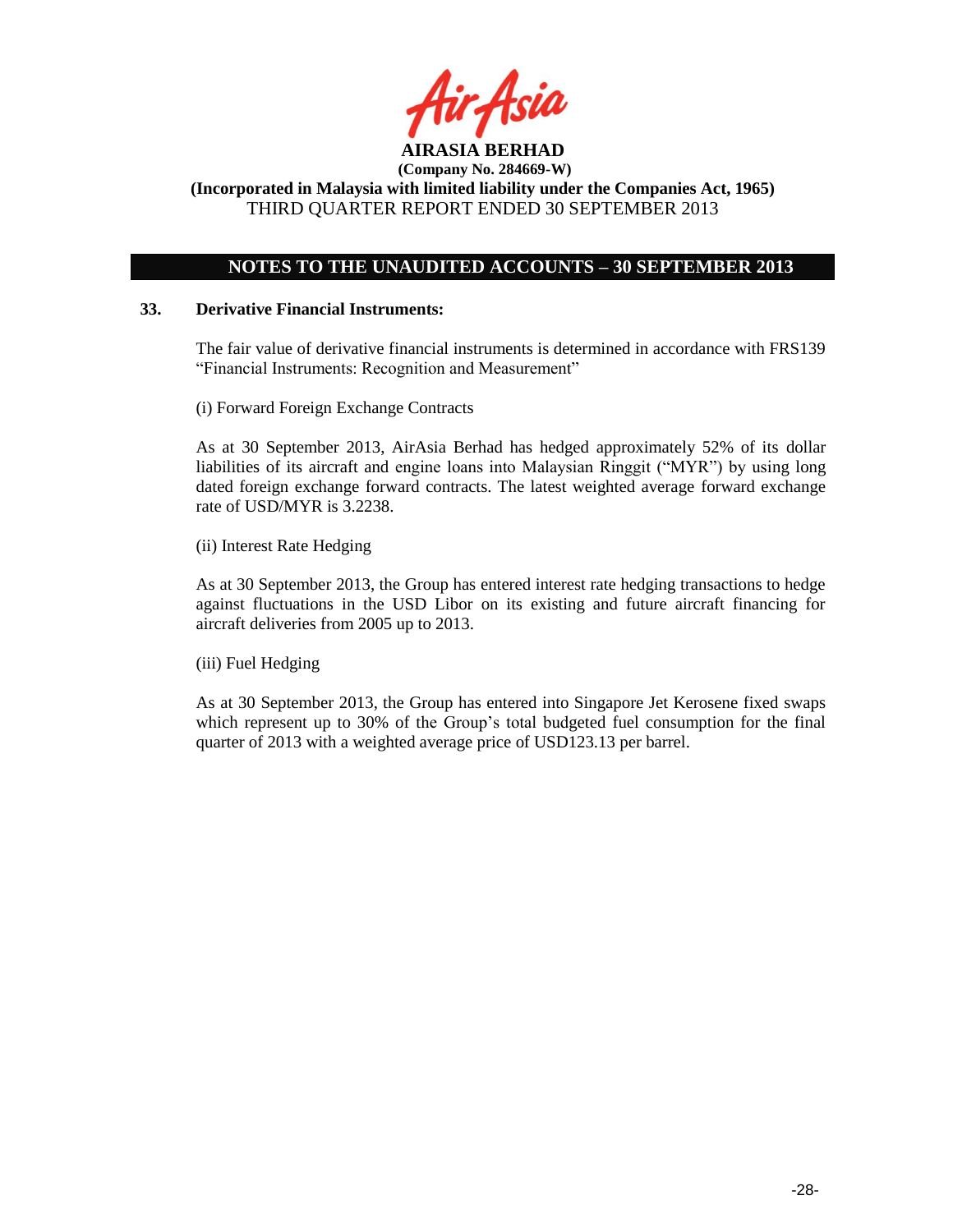

## **NOTES TO THE UNAUDITED ACCOUNTS – 30 SEPTEMBER 2013**

### **33. Derivative Financial Instruments:**

The fair value of derivative financial instruments is determined in accordance with FRS139 "Financial Instruments: Recognition and Measurement"

(i) Forward Foreign Exchange Contracts

As at 30 September 2013, AirAsia Berhad has hedged approximately 52% of its dollar liabilities of its aircraft and engine loans into Malaysian Ringgit ("MYR") by using long dated foreign exchange forward contracts. The latest weighted average forward exchange rate of USD/MYR is 3.2238.

(ii) Interest Rate Hedging

As at 30 September 2013, the Group has entered interest rate hedging transactions to hedge against fluctuations in the USD Libor on its existing and future aircraft financing for aircraft deliveries from 2005 up to 2013.

(iii) Fuel Hedging

As at 30 September 2013, the Group has entered into Singapore Jet Kerosene fixed swaps which represent up to 30% of the Group"s total budgeted fuel consumption for the final quarter of 2013 with a weighted average price of USD123.13 per barrel.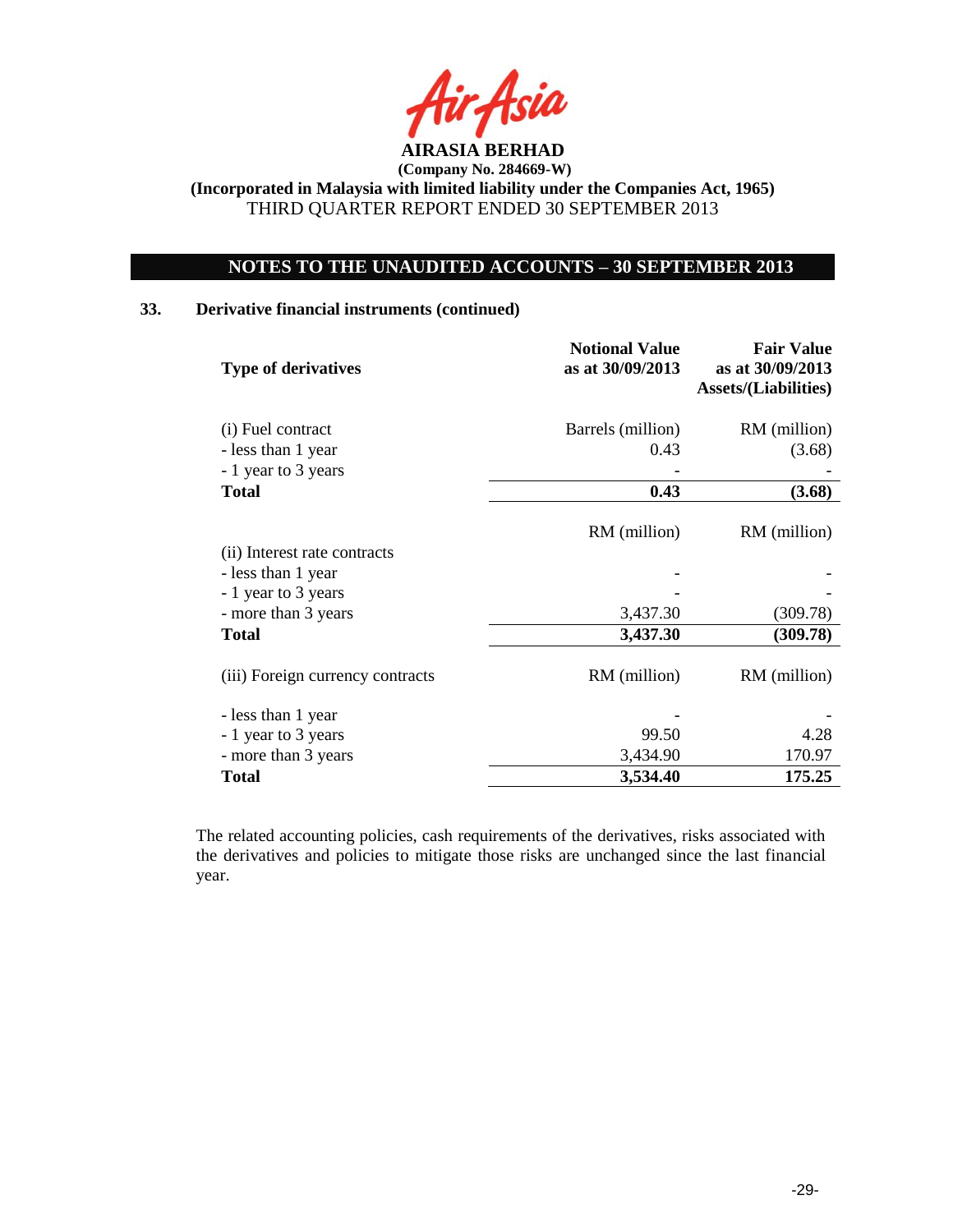

## **NOTES TO THE UNAUDITED ACCOUNTS – 30 SEPTEMBER 2013**

### **33. Derivative financial instruments (continued)**

| <b>Type of derivatives</b>                | <b>Notional Value</b><br>as at 30/09/2013 | <b>Fair Value</b><br>as at 30/09/2013<br><b>Assets/(Liabilities)</b> |
|-------------------------------------------|-------------------------------------------|----------------------------------------------------------------------|
| (i) Fuel contract                         | Barrels (million)                         | RM (million)                                                         |
| - less than 1 year<br>- 1 year to 3 years | 0.43                                      | (3.68)                                                               |
| <b>Total</b>                              | 0.43                                      | (3.68)                                                               |
|                                           | RM (million)                              | RM (million)                                                         |
| (ii) Interest rate contracts              |                                           |                                                                      |
| - less than 1 year                        |                                           |                                                                      |
| - 1 year to 3 years                       |                                           |                                                                      |
| - more than 3 years                       | 3,437.30                                  | (309.78)                                                             |
| <b>Total</b>                              | 3,437.30                                  | (309.78)                                                             |
| (iii) Foreign currency contracts          | RM (million)                              | RM (million)                                                         |
| - less than 1 year                        |                                           |                                                                      |
| - 1 year to 3 years                       | 99.50                                     | 4.28                                                                 |
| - more than 3 years                       | 3,434.90                                  | 170.97                                                               |
| <b>Total</b>                              | 3,534.40                                  | 175.25                                                               |

The related accounting policies, cash requirements of the derivatives, risks associated with the derivatives and policies to mitigate those risks are unchanged since the last financial year.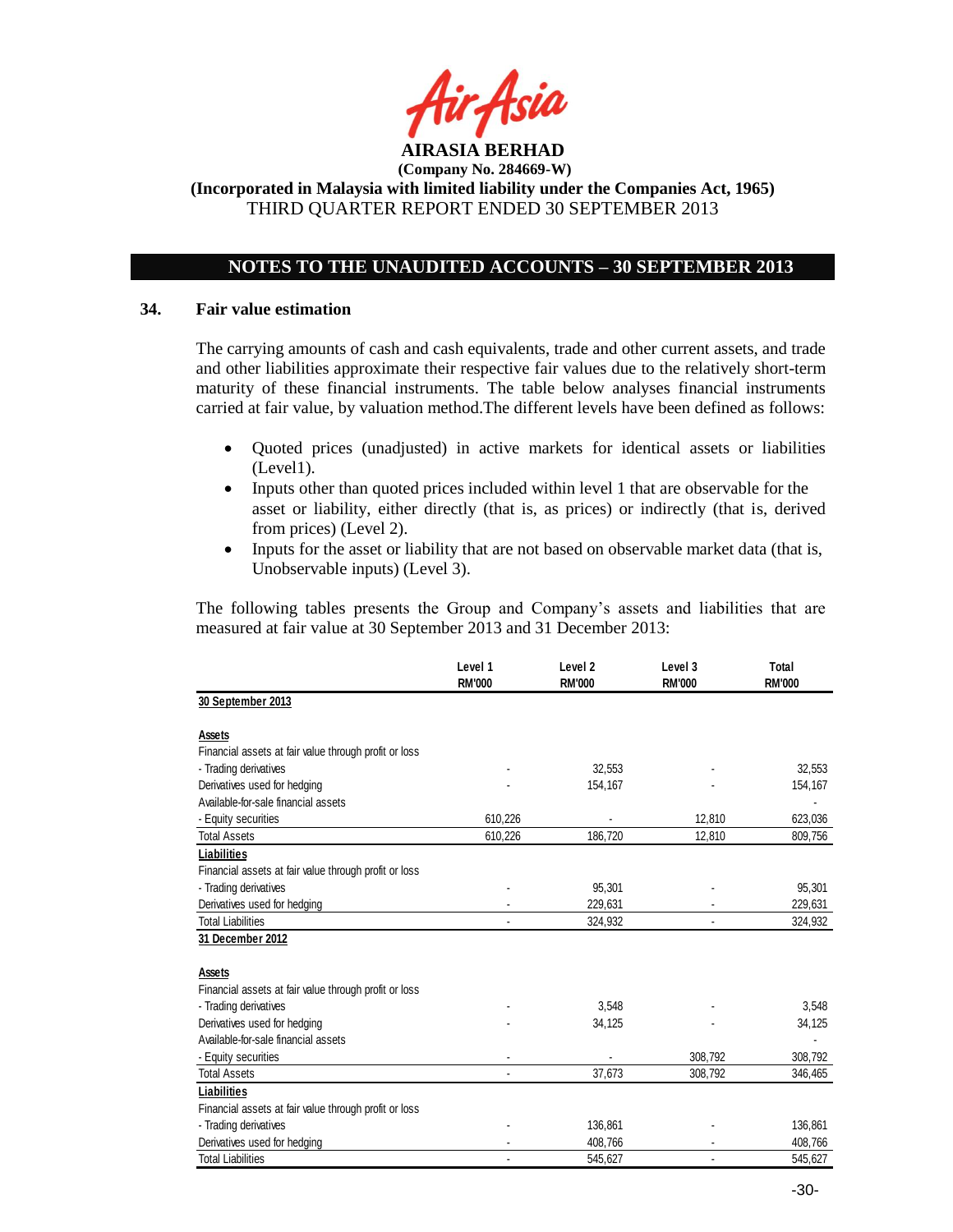

## **NOTES TO THE UNAUDITED ACCOUNTS – 30 SEPTEMBER 2013**

### **34. Fair value estimation**

The carrying amounts of cash and cash equivalents, trade and other current assets, and trade and other liabilities approximate their respective fair values due to the relatively short-term maturity of these financial instruments. The table below analyses financial instruments carried at fair value, by valuation method.The different levels have been defined as follows:

- Quoted prices (unadjusted) in active markets for identical assets or liabilities (Level1).
- Inputs other than quoted prices included within level 1 that are observable for the asset or liability, either directly (that is, as prices) or indirectly (that is, derived from prices) (Level 2).
- Inputs for the asset or liability that are not based on observable market data (that is, Unobservable inputs) (Level 3).

The following tables presents the Group and Company"s assets and liabilities that are measured at fair value at 30 September 2013 and 31 December 2013:

|                                                       | Level 1<br><b>RM'000</b> | Level <sub>2</sub><br><b>RM'000</b> | Level 3<br><b>RM'000</b> | Total<br><b>RM'000</b> |
|-------------------------------------------------------|--------------------------|-------------------------------------|--------------------------|------------------------|
| 30 September 2013                                     |                          |                                     |                          |                        |
| Assets                                                |                          |                                     |                          |                        |
| Financial assets at fair value through profit or loss |                          |                                     |                          |                        |
| - Trading derivatives                                 |                          | 32,553                              |                          | 32,553                 |
| Derivatives used for hedging                          |                          | 154,167                             |                          | 154,167                |
| Available-for-sale financial assets                   |                          |                                     |                          |                        |
| - Equity securities                                   | 610,226                  |                                     | 12,810                   | 623,036                |
| <b>Total Assets</b>                                   | 610,226                  | 186,720                             | 12,810                   | 809,756                |
| <b>Liabilities</b>                                    |                          |                                     |                          |                        |
| Financial assets at fair value through profit or loss |                          |                                     |                          |                        |
| - Trading derivatives                                 |                          | 95,301                              |                          | 95,301                 |
| Derivatives used for hedging                          |                          | 229,631                             |                          | 229,631                |
| <b>Total Liabilities</b>                              |                          | 324,932                             |                          | 324,932                |
| 31 December 2012                                      |                          |                                     |                          |                        |
|                                                       |                          |                                     |                          |                        |
| Assets                                                |                          |                                     |                          |                        |
| Financial assets at fair value through profit or loss |                          |                                     |                          |                        |
| - Trading derivatives                                 |                          | 3,548                               |                          | 3,548                  |
| Derivatives used for hedging                          |                          | 34,125                              |                          | 34,125                 |
| Available-for-sale financial assets                   |                          |                                     |                          |                        |
| - Equity securities                                   |                          |                                     | 308.792                  | 308,792                |
| <b>Total Assets</b>                                   |                          | 37,673                              | 308,792                  | 346,465                |
| Liabilities                                           |                          |                                     |                          |                        |
| Financial assets at fair value through profit or loss |                          |                                     |                          |                        |
| - Trading derivatives                                 |                          | 136,861                             |                          | 136,861                |
| Derivatives used for hedging                          |                          | 408,766                             |                          | 408,766                |
| <b>Total Liabilities</b>                              |                          | 545,627                             |                          | 545,627                |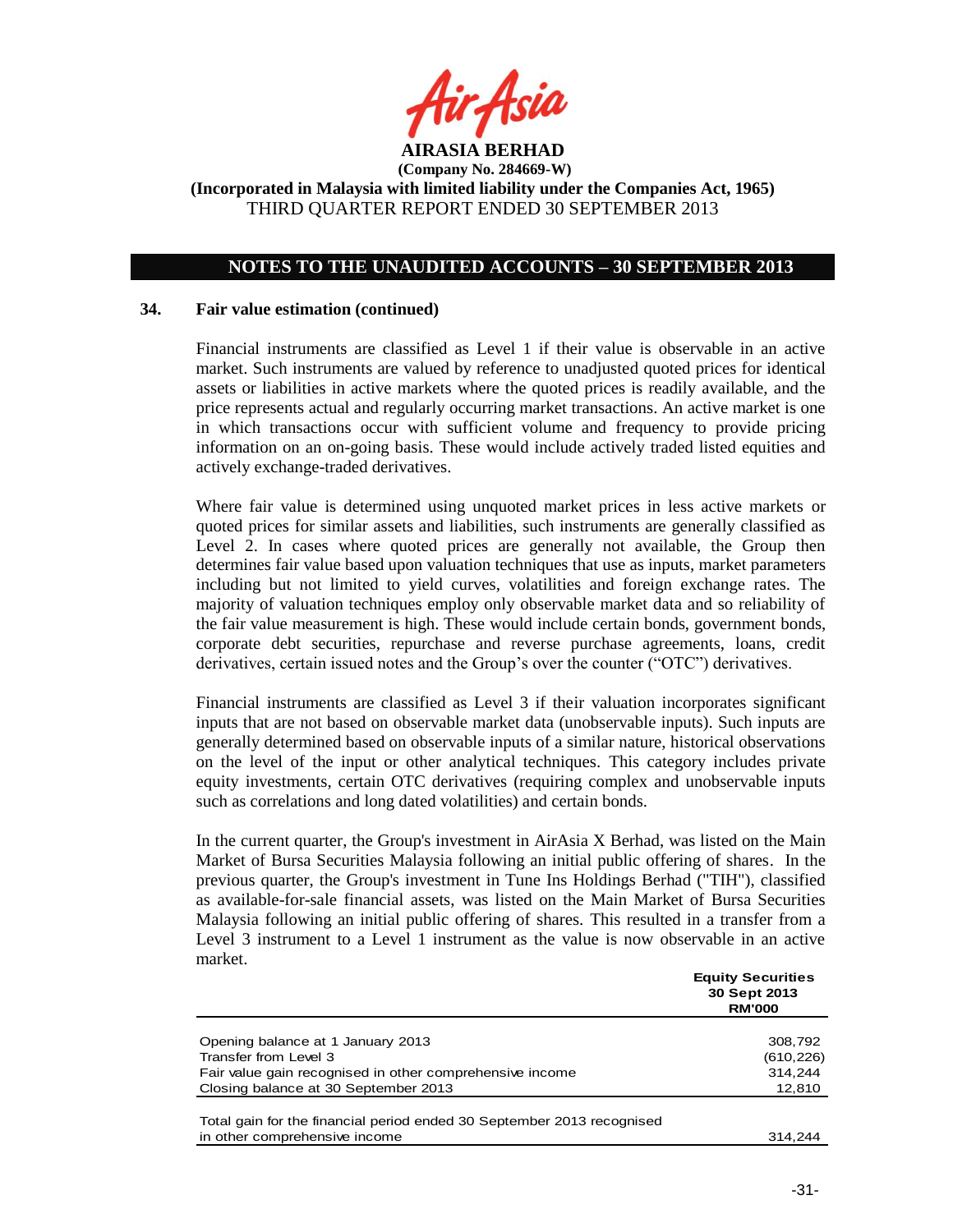

## **NOTES TO THE UNAUDITED ACCOUNTS – 30 SEPTEMBER 2013**

### **34. Fair value estimation (continued)**

Financial instruments are classified as Level 1 if their value is observable in an active market. Such instruments are valued by reference to unadjusted quoted prices for identical assets or liabilities in active markets where the quoted prices is readily available, and the price represents actual and regularly occurring market transactions. An active market is one in which transactions occur with sufficient volume and frequency to provide pricing information on an on-going basis. These would include actively traded listed equities and actively exchange-traded derivatives.

Where fair value is determined using unquoted market prices in less active markets or quoted prices for similar assets and liabilities, such instruments are generally classified as Level 2. In cases where quoted prices are generally not available, the Group then determines fair value based upon valuation techniques that use as inputs, market parameters including but not limited to yield curves, volatilities and foreign exchange rates. The majority of valuation techniques employ only observable market data and so reliability of the fair value measurement is high. These would include certain bonds, government bonds, corporate debt securities, repurchase and reverse purchase agreements, loans, credit derivatives, certain issued notes and the Group"s over the counter ("OTC") derivatives.

Financial instruments are classified as Level 3 if their valuation incorporates significant inputs that are not based on observable market data (unobservable inputs). Such inputs are generally determined based on observable inputs of a similar nature, historical observations on the level of the input or other analytical techniques. This category includes private equity investments, certain OTC derivatives (requiring complex and unobservable inputs such as correlations and long dated volatilities) and certain bonds.

In the current quarter, the Group's investment in AirAsia X Berhad, was listed on the Main Market of Bursa Securities Malaysia following an initial public offering of shares. In the previous quarter, the Group's investment in Tune Ins Holdings Berhad ("TIH"), classified as available-for-sale financial assets, was listed on the Main Market of Bursa Securities Malaysia following an initial public offering of shares. This resulted in a transfer from a Level 3 instrument to a Level 1 instrument as the value is now observable in an active market.

|                                                                        | <b>Equity Securities</b><br>30 Sept 2013<br><b>RM'000</b> |
|------------------------------------------------------------------------|-----------------------------------------------------------|
| Opening balance at 1 January 2013                                      | 308,792                                                   |
| Transfer from Level 3                                                  | (610, 226)                                                |
| Fair value gain recognised in other comprehensive income               | 314.244                                                   |
| Closing balance at 30 September 2013                                   | 12,810                                                    |
| Total gain for the financial period ended 30 September 2013 recognised |                                                           |
| in other comprehensive income                                          | 314.244                                                   |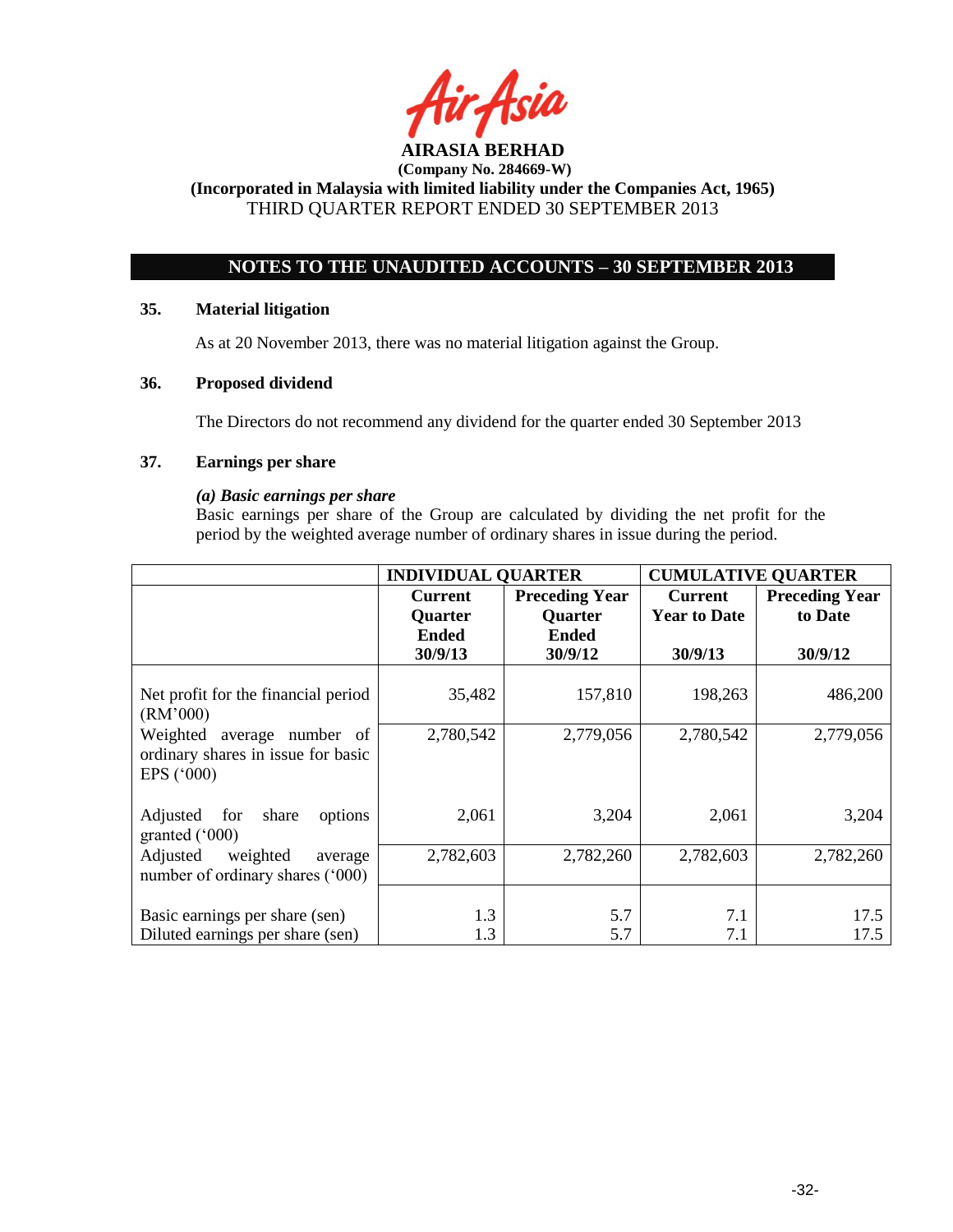

## **NOTES TO THE UNAUDITED ACCOUNTS – 30 SEPTEMBER 2013**

### **35. Material litigation**

As at 20 November 2013, there was no material litigation against the Group.

### **36. Proposed dividend**

The Directors do not recommend any dividend for the quarter ended 30 September 2013

## **37. Earnings per share**

### *(a) Basic earnings per share*

Basic earnings per share of the Group are calculated by dividing the net profit for the period by the weighted average number of ordinary shares in issue during the period.

|                                                                                         | <b>INDIVIDUAL QUARTER</b> |                       | <b>CUMULATIVE QUARTER</b> |                       |
|-----------------------------------------------------------------------------------------|---------------------------|-----------------------|---------------------------|-----------------------|
|                                                                                         | <b>Current</b>            | <b>Preceding Year</b> | Current                   | <b>Preceding Year</b> |
|                                                                                         | <b>Quarter</b>            | <b>Quarter</b>        | <b>Year to Date</b>       | to Date               |
|                                                                                         | <b>Ended</b>              | <b>Ended</b>          |                           |                       |
|                                                                                         | 30/9/13                   | 30/9/12               | 30/9/13                   | 30/9/12               |
| Net profit for the financial period<br>(RM'000)                                         | 35,482                    | 157,810               | 198,263                   | 486,200               |
| Weighted average number of<br>ordinary shares in issue for basic<br>EPS $(^{\circ}000)$ | 2,780,542                 | 2,779,056             | 2,780,542                 | 2,779,056             |
| for<br>share<br>Adjusted<br>options<br>granted $(000)$                                  | 2,061                     | 3,204                 | 2,061                     | 3,204                 |
| Adjusted<br>weighted<br>average<br>number of ordinary shares ('000)                     | 2,782,603                 | 2,782,260             | 2,782,603                 | 2,782,260             |
| Basic earnings per share (sen)<br>Diluted earnings per share (sen)                      | 1.3<br>1.3                | 5.7<br>5.7            | 7.1<br>7.1                | 17.5<br>17.5          |